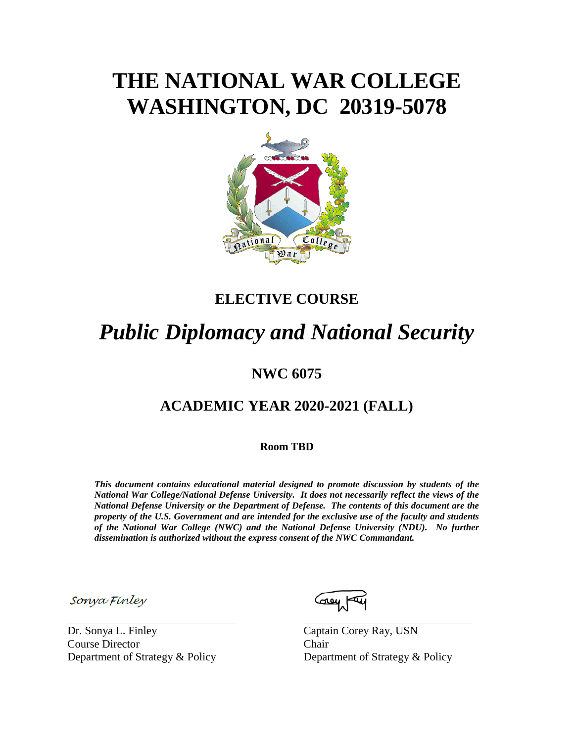# **THE NATIONAL WAR COLLEGE WASHINGTON, DC 20319-5078**



# **ELECTIVE COURSE**

# *Public Diplomacy and National Security*

# **NWC 6075**

# **ACADEMIC YEAR 2020-2021 (FALL)**

**Room TBD**

*This document contains educational material designed to promote discussion by students of the National War College/National Defense University. It does not necessarily reflect the views of the National Defense University or the Department of Defense. The contents of this document are the property of the U.S. Government and are intended for the exclusive use of the faculty and students of the National War College (NWC) and the National Defense University (NDU). No further dissemination is authorized without the express consent of the NWC Commandant.*

Sonya Finley

Dr. Sonya L. Finley Captain Corey Ray, USN Course Director Chair Department of Strategy & Policy Department of Strategy & Policy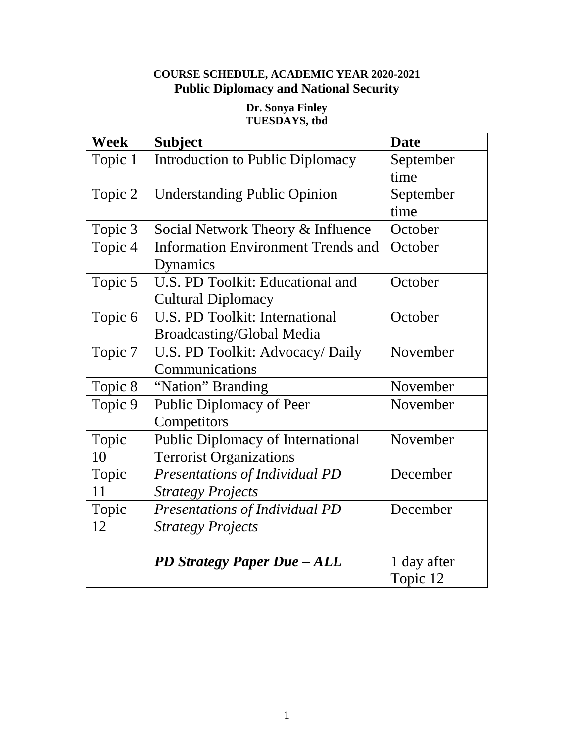# **COURSE SCHEDULE, ACADEMIC YEAR 2020-2021 Public Diplomacy and National Security**

#### **Dr. Sonya Finley TUESDAYS, tbd**

| <b>Week</b> | <b>Subject</b>                            | <b>Date</b> |
|-------------|-------------------------------------------|-------------|
| Topic 1     | <b>Introduction to Public Diplomacy</b>   | September   |
|             |                                           | time        |
| Topic 2     | <b>Understanding Public Opinion</b>       | September   |
|             |                                           | time        |
| Topic 3     | Social Network Theory & Influence         | October     |
| Topic 4     | <b>Information Environment Trends and</b> | October     |
|             | Dynamics                                  |             |
| Topic 5     | U.S. PD Toolkit: Educational and          | October     |
|             | <b>Cultural Diplomacy</b>                 |             |
| Topic 6     | <b>U.S. PD Toolkit: International</b>     | October     |
|             | <b>Broadcasting/Global Media</b>          |             |
| Topic 7     | U.S. PD Toolkit: Advocacy/ Daily          | November    |
|             | Communications                            |             |
| Topic 8     | "Nation" Branding                         | November    |
| Topic 9     | <b>Public Diplomacy of Peer</b>           | November    |
|             | Competitors                               |             |
| Topic       | Public Diplomacy of International         | November    |
| 10          | <b>Terrorist Organizations</b>            |             |
| Topic       | Presentations of Individual PD            | December    |
| 11          | <b>Strategy Projects</b>                  |             |
| Topic       | Presentations of Individual PD            | December    |
| 12          | <b>Strategy Projects</b>                  |             |
|             |                                           |             |
|             | PD Strategy Paper Due - ALL               | 1 day after |
|             |                                           | Topic 12    |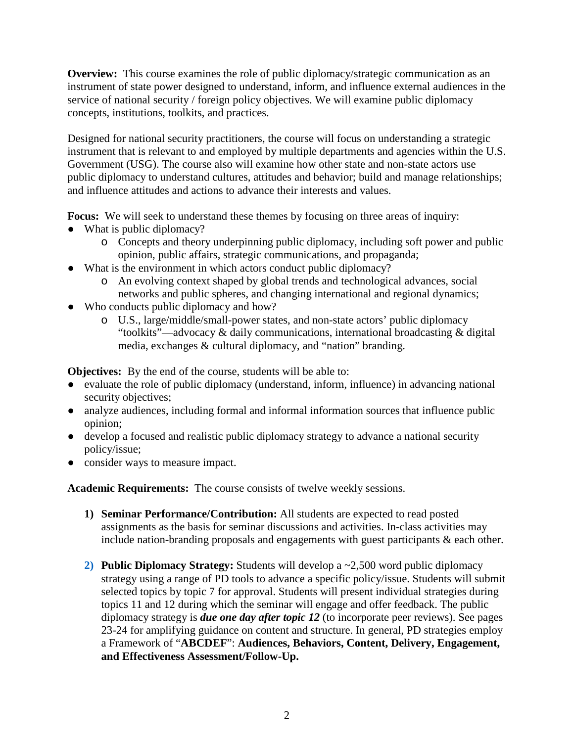**Overview:** This course examines the role of public diplomacy/strategic communication as an instrument of state power designed to understand, inform, and influence external audiences in the service of national security / foreign policy objectives. We will examine public diplomacy concepts, institutions, toolkits, and practices.

Designed for national security practitioners, the course will focus on understanding a strategic instrument that is relevant to and employed by multiple departments and agencies within the U.S. Government (USG). The course also will examine how other state and non-state actors use public diplomacy to understand cultures, attitudes and behavior; build and manage relationships; and influence attitudes and actions to advance their interests and values.

Focus: We will seek to understand these themes by focusing on three areas of inquiry:

- What is public diplomacy?
	- o Concepts and theory underpinning public diplomacy, including soft power and public opinion, public affairs, strategic communications, and propaganda;
- What is the environment in which actors conduct public diplomacy?
	- o An evolving context shaped by global trends and technological advances, social networks and public spheres, and changing international and regional dynamics;
- Who conducts public diplomacy and how?
	- o U.S., large/middle/small-power states, and non-state actors' public diplomacy "toolkits"—advocacy & daily communications, international broadcasting & digital media, exchanges & cultural diplomacy, and "nation" branding.

**Objectives:** By the end of the course, students will be able to:

- evaluate the role of public diplomacy (understand, inform, influence) in advancing national security objectives;
- analyze audiences, including formal and informal information sources that influence public opinion;
- develop a focused and realistic public diplomacy strategy to advance a national security policy/issue;
- consider ways to measure impact.

**Academic Requirements:** The course consists of twelve weekly sessions.

- **1) Seminar Performance/Contribution:** All students are expected to read posted assignments as the basis for seminar discussions and activities. In-class activities may include nation-branding proposals and engagements with guest participants  $\&$  each other.
- **2) Public Diplomacy Strategy:** Students will develop a ~2,500 word public diplomacy strategy using a range of PD tools to advance a specific policy/issue. Students will submit selected topics by topic 7 for approval. Students will present individual strategies during topics 11 and 12 during which the seminar will engage and offer feedback. The public diplomacy strategy is *due one day after topic 12* (to incorporate peer reviews). See pages 23-24 for amplifying guidance on content and structure. In general, PD strategies employ a Framework of "**ABCDEF**": **Audiences, Behaviors, Content, Delivery, Engagement, and Effectiveness Assessment/Follow-Up.**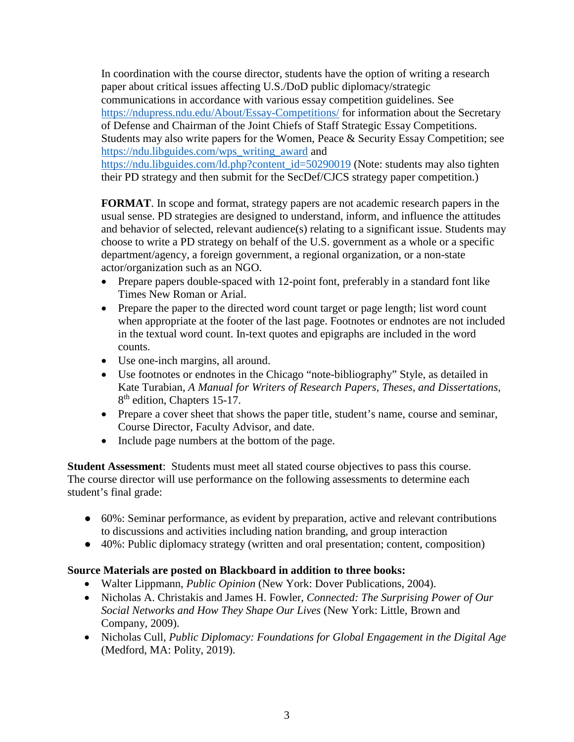In coordination with the course director, students have the option of writing a research paper about critical issues affecting U.S./DoD public diplomacy/strategic communications in accordance with various essay competition guidelines. See <https://ndupress.ndu.edu/About/Essay-Competitions/> for information about the Secretary of Defense and Chairman of the Joint Chiefs of Staff Strategic Essay Competitions. Students may also write papers for the Women, Peace & Security Essay Competition; see [https://ndu.libguides.com/wps\\_writing\\_award](https://ndu.libguides.com/wps_writing_award) and https://ndu.libguides.com/ld.php?content\_id=50290019 (Note: students may also tighten their PD strategy and then submit for the SecDef/CJCS strategy paper competition.)

**FORMAT**. In scope and format, strategy papers are not academic research papers in the usual sense. PD strategies are designed to understand, inform, and influence the attitudes and behavior of selected, relevant audience(s) relating to a significant issue. Students may choose to write a PD strategy on behalf of the U.S. government as a whole or a specific department/agency, a foreign government, a regional organization, or a non-state actor/organization such as an NGO.

- Prepare papers double-spaced with 12-point font, preferably in a standard font like Times New Roman or Arial.
- Prepare the paper to the directed word count target or page length; list word count when appropriate at the footer of the last page. Footnotes or endnotes are not included in the textual word count. In-text quotes and epigraphs are included in the word counts.
- Use one-inch margins, all around.
- Use footnotes or endnotes in the Chicago "note-bibliography" Style, as detailed in Kate Turabian, *A Manual for Writers of Research Papers, Theses, and Dissertations,*  8<sup>th</sup> edition, Chapters 15-17.
- Prepare a cover sheet that shows the paper title, student's name, course and seminar, Course Director, Faculty Advisor, and date.
- Include page numbers at the bottom of the page.

**Student Assessment**: Students must meet all stated course objectives to pass this course. The course director will use performance on the following assessments to determine each student's final grade:

- 60%: Seminar performance, as evident by preparation, active and relevant contributions to discussions and activities including nation branding, and group interaction
- 40%: Public diplomacy strategy (written and oral presentation; content, composition)

#### **Source Materials are posted on Blackboard in addition to three books:**

- Walter Lippmann, *Public Opinion* (New York: Dover Publications, 2004).
- Nicholas A. Christakis and James H. Fowler, *Connected: The Surprising Power of Our Social Networks and How They Shape Our Lives* (New York: Little, Brown and Company, 2009).
- Nicholas Cull, *Public Diplomacy: Foundations for Global Engagement in the Digital Age* (Medford, MA: Polity, 2019).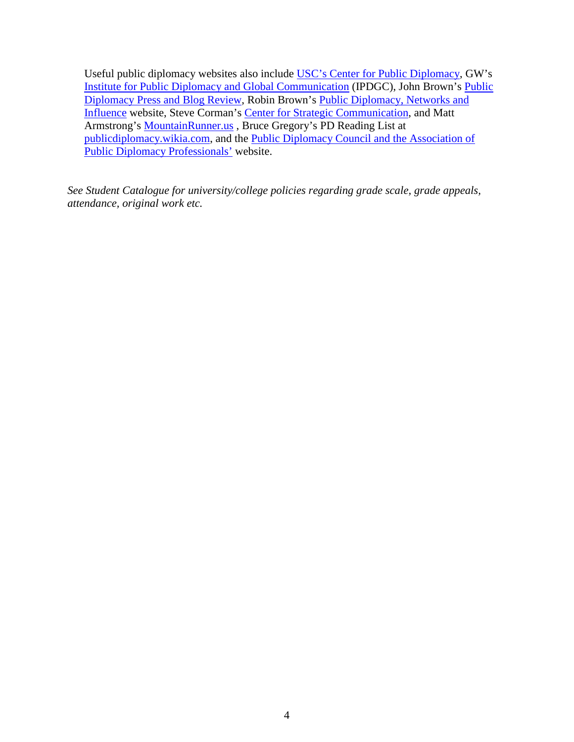Useful public diplomacy websites also include [USC's Center for Public Diplomacy,](http://www.uscpublicdiplomacy.com/) GW's [Institute for Public Diplomacy and Global Communication](http://www.gwu.edu/%7Eipdgc/) (IPDGC), John Brown's [Public](http://publicdiplomacypressandblogreview.blogspot.com/)  [Diplomacy Press and Blog Review,](http://publicdiplomacypressandblogreview.blogspot.com/) Robin Brown's [Public Diplomacy, Networks and](http://pdnetworks.wordpress.com/about/)  [Influence](http://pdnetworks.wordpress.com/about/) website, Steve Corman's [Center for Strategic Communication,](http://comops.org/index.php) and Matt Armstrong's [MountainRunner.us](http://www.mountainrunner.us/) , Bruce Gregory's PD Reading List at [publicdiplomacy.wikia.com,](http://publicdiplomacy.wikia.com/wiki/Bruce_Gregory%27s_Reading_List) and the [Public Diplomacy Council and the Association of](https://www.publicdiplomacy.org/)  [Public Diplomacy Professionals'](https://www.publicdiplomacy.org/) website.

*See Student Catalogue for university/college policies regarding grade scale, grade appeals, attendance, original work etc.*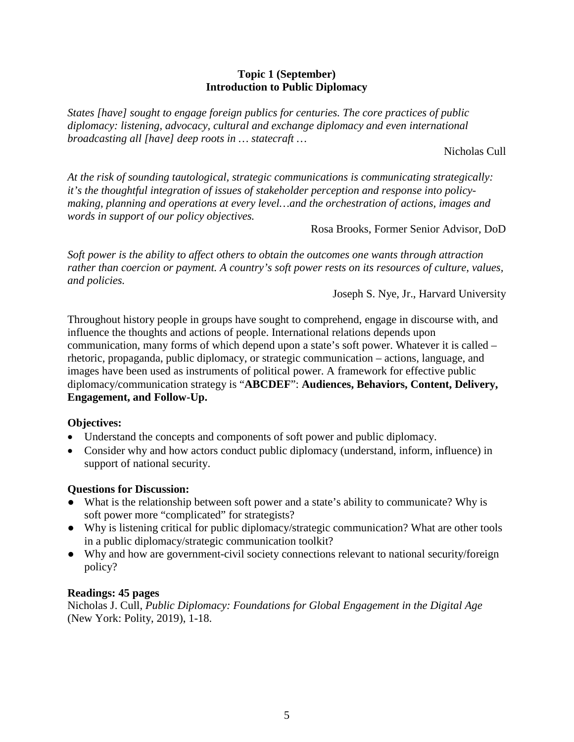#### **Topic 1 (September) Introduction to Public Diplomacy**

*States [have] sought to engage foreign publics for centuries. The core practices of public diplomacy: listening, advocacy, cultural and exchange diplomacy and even international broadcasting all [have] deep roots in … statecraft …* 

Nicholas Cull

*At the risk of sounding tautological, strategic communications is communicating strategically: it's the thoughtful integration of issues of stakeholder perception and response into policymaking, planning and operations at every level…and the orchestration of actions, images and words in support of our policy objectives.*

Rosa Brooks, Former Senior Advisor, DoD

*Soft power is the ability to affect others to obtain the outcomes one wants through attraction rather than coercion or payment. A country's soft power rests on its resources of culture, values, and policies.* 

Joseph S. Nye, Jr., Harvard University

Throughout history people in groups have sought to comprehend, engage in discourse with, and influence the thoughts and actions of people. International relations depends upon communication, many forms of which depend upon a state's soft power. Whatever it is called – rhetoric, propaganda, public diplomacy, or strategic communication – actions, language, and images have been used as instruments of political power. A framework for effective public diplomacy/communication strategy is "**ABCDEF**": **Audiences, Behaviors, Content, Delivery, Engagement, and Follow-Up.**

#### **Objectives:**

- Understand the concepts and components of soft power and public diplomacy.
- Consider why and how actors conduct public diplomacy (understand, inform, influence) in support of national security.

#### **Questions for Discussion:**

- What is the relationship between soft power and a state's ability to communicate? Why is soft power more "complicated" for strategists?
- Why is listening critical for public diplomacy/strategic communication? What are other tools in a public diplomacy/strategic communication toolkit?
- Why and how are government-civil society connections relevant to national security/foreign policy?

#### **Readings: 45 pages**

Nicholas J. Cull, *Public Diplomacy: Foundations for Global Engagement in the Digital Age* (New York: Polity, 2019), 1-18.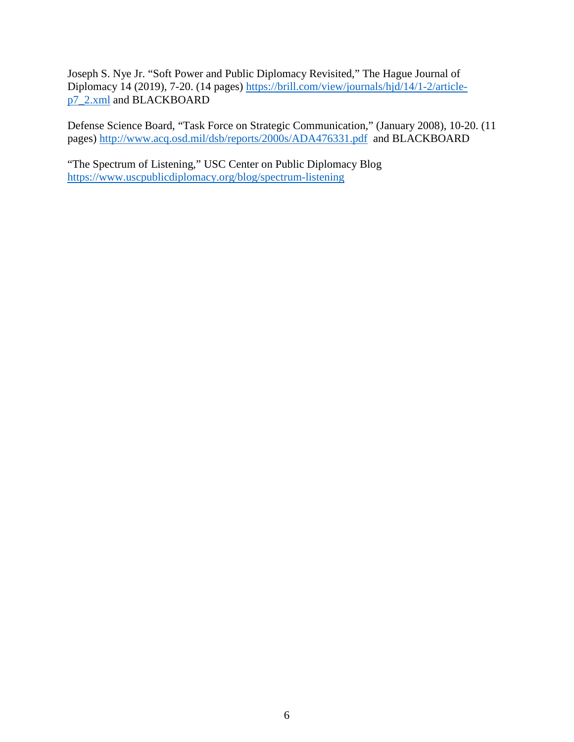Joseph S. Nye Jr. "Soft Power and Public Diplomacy Revisited," The Hague Journal of Diplomacy 14 (2019), 7-20. (14 pages) [https://brill.com/view/journals/hjd/14/1-2/article](https://brill.com/view/journals/hjd/14/1-2/article-p7_2.xml)[p7\\_2.xml](https://brill.com/view/journals/hjd/14/1-2/article-p7_2.xml) and BLACKBOARD

Defense Science Board, "Task Force on Strategic Communication," (January 2008), 10-20. (11 pages) <http://www.acq.osd.mil/dsb/reports/2000s/ADA476331.pdf> and BLACKBOARD

"The Spectrum of Listening," USC Center on Public Diplomacy Blog <https://www.uscpublicdiplomacy.org/blog/spectrum-listening>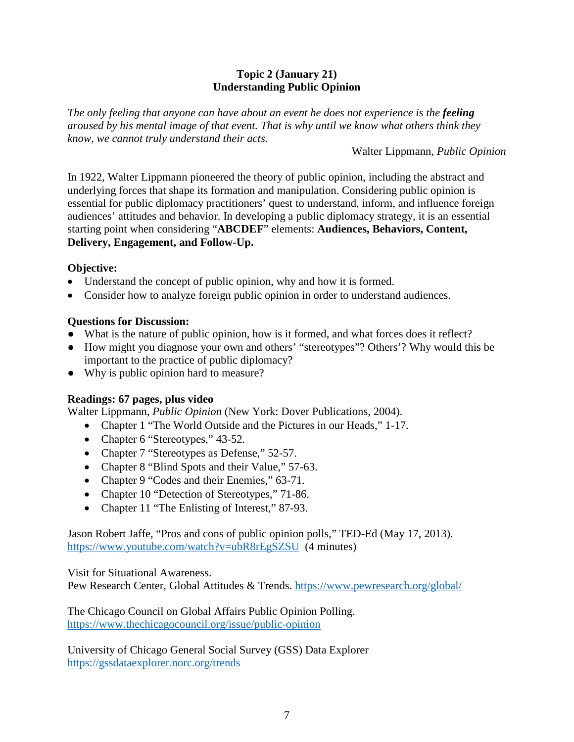#### **Topic 2 (January 21) Understanding Public Opinion**

*The only feeling that anyone can have about an event he does not experience is the feeling aroused by his mental image of that event. That is why until we know what others think they know, we cannot truly understand their acts.*

Walter Lippmann, *Public Opinion*

In 1922, Walter Lippmann pioneered the theory of public opinion, including the abstract and underlying forces that shape its formation and manipulation. Considering public opinion is essential for public diplomacy practitioners' quest to understand, inform, and influence foreign audiences' attitudes and behavior. In developing a public diplomacy strategy, it is an essential starting point when considering "**ABCDEF**" elements: **Audiences, Behaviors, Content, Delivery, Engagement, and Follow-Up.**

# **Objective:**

- Understand the concept of public opinion, why and how it is formed.
- Consider how to analyze foreign public opinion in order to understand audiences.

# **Questions for Discussion:**

- What is the nature of public opinion, how is it formed, and what forces does it reflect?
- How might you diagnose your own and others' "stereotypes"? Others'? Why would this be important to the practice of public diplomacy?
- Why is public opinion hard to measure?

# **Readings: 67 pages, plus video**

Walter Lippmann, *Public Opinion* (New York: Dover Publications, 2004).

- Chapter 1 "The World Outside and the Pictures in our Heads," 1-17.
- Chapter 6 "Stereotypes," 43-52.
- Chapter 7 "Stereotypes as Defense," 52-57.
- Chapter 8 "Blind Spots and their Value," 57-63.
- Chapter 9 "Codes and their Enemies," 63-71.
- Chapter 10 "Detection of Stereotypes," 71-86.
- Chapter 11 "The Enlisting of Interest," 87-93.

Jason Robert Jaffe, "Pros and cons of public opinion polls," TED-Ed (May 17, 2013). <https://www.youtube.com/watch?v=ubR8rEgSZSU> (4 minutes)

Visit for Situational Awareness.

Pew Research Center, Global Attitudes & Trends.<https://www.pewresearch.org/global/>

The Chicago Council on Global Affairs Public Opinion Polling. <https://www.thechicagocouncil.org/issue/public-opinion>

University of Chicago General Social Survey (GSS) Data Explorer <https://gssdataexplorer.norc.org/trends>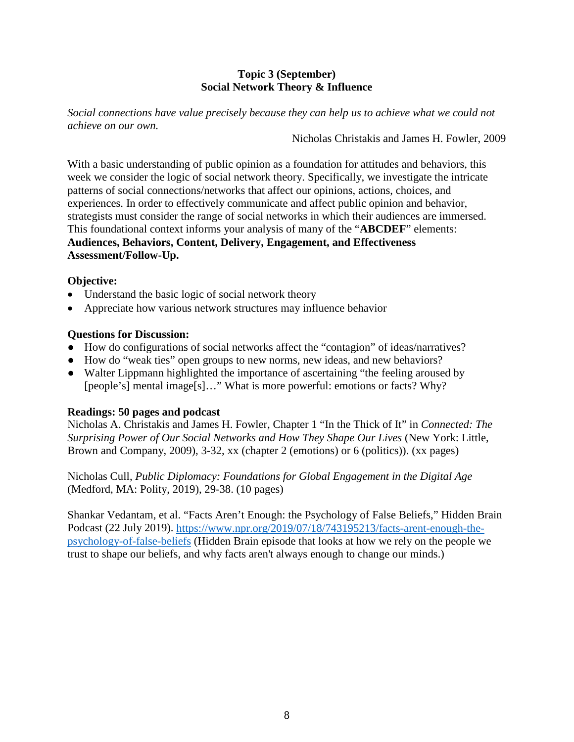#### **Topic 3 (September) Social Network Theory & Influence**

*Social connections have value precisely because they can help us to achieve what we could not achieve on our own.*

Nicholas Christakis and James H. Fowler, 2009

With a basic understanding of public opinion as a foundation for attitudes and behaviors, this week we consider the logic of social network theory. Specifically, we investigate the intricate patterns of social connections/networks that affect our opinions, actions, choices, and experiences. In order to effectively communicate and affect public opinion and behavior, strategists must consider the range of social networks in which their audiences are immersed. This foundational context informs your analysis of many of the "**ABCDEF**" elements: **Audiences, Behaviors, Content, Delivery, Engagement, and Effectiveness Assessment/Follow-Up.**

#### **Objective:**

- Understand the basic logic of social network theory
- Appreciate how various network structures may influence behavior

#### **Questions for Discussion:**

- How do configurations of social networks affect the "contagion" of ideas/narratives?
- How do "weak ties" open groups to new norms, new ideas, and new behaviors?
- Walter Lippmann highlighted the importance of ascertaining "the feeling aroused by [people's] mental image[s]..." What is more powerful: emotions or facts? Why?

#### **Readings: 50 pages and podcast**

Nicholas A. Christakis and James H. Fowler, Chapter 1 "In the Thick of It" in *Connected: The Surprising Power of Our Social Networks and How They Shape Our Lives* (New York: Little, Brown and Company, 2009), 3-32, xx (chapter 2 (emotions) or 6 (politics)). (xx pages)

Nicholas Cull, *Public Diplomacy: Foundations for Global Engagement in the Digital Age* (Medford, MA: Polity, 2019), 29-38. (10 pages)

Shankar Vedantam, et al. "Facts Aren't Enough: the Psychology of False Beliefs," Hidden Brain Podcast (22 July 2019). [https://www.npr.org/2019/07/18/743195213/facts-arent-enough-the](https://www.npr.org/2019/07/18/743195213/facts-arent-enough-the-psychology-of-false-beliefs)[psychology-of-false-beliefs](https://www.npr.org/2019/07/18/743195213/facts-arent-enough-the-psychology-of-false-beliefs) (Hidden Brain episode that looks at how we rely on the people we trust to shape our beliefs, and why facts aren't always enough to change our minds.)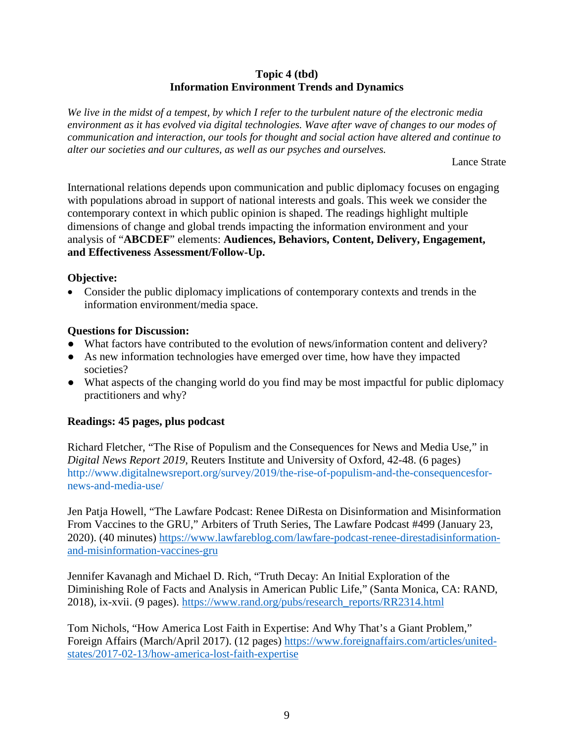#### **Topic 4 (tbd) Information Environment Trends and Dynamics**

*We live in the midst of a tempest, by which I refer to the turbulent nature of the electronic media environment as it has evolved via digital technologies. Wave after wave of changes to our modes of communication and interaction, our tools for thought and social action have altered and continue to alter our societies and our cultures, as well as our psyches and ourselves.* 

Lance Strate

International relations depends upon communication and public diplomacy focuses on engaging with populations abroad in support of national interests and goals. This week we consider the contemporary context in which public opinion is shaped. The readings highlight multiple dimensions of change and global trends impacting the information environment and your analysis of "**ABCDEF**" elements: **Audiences, Behaviors, Content, Delivery, Engagement, and Effectiveness Assessment/Follow-Up.**

#### **Objective:**

• Consider the public diplomacy implications of contemporary contexts and trends in the information environment/media space.

#### **Questions for Discussion:**

- What factors have contributed to the evolution of news/information content and delivery?
- As new information technologies have emerged over time, how have they impacted societies?
- What aspects of the changing world do you find may be most impactful for public diplomacy practitioners and why?

#### **Readings: 45 pages, plus podcast**

Richard Fletcher, "The Rise of Populism and the Consequences for News and Media Use," in *Digital News Report 2019*, Reuters Institute and University of Oxford, 42-48. (6 pages) http://www.digitalnewsreport.org/survey/2019/the-rise-of-populism-and-the-consequencesfornews-and-media-use/

Jen Patja Howell, "The Lawfare Podcast: Renee DiResta on Disinformation and Misinformation From Vaccines to the GRU," Arbiters of Truth Series, The Lawfare Podcast #499 (January 23, 2020). (40 minutes) [https://www.lawfareblog.com/lawfare-podcast-renee-direstadisinformation](https://www.lawfareblog.com/lawfare-podcast-renee-direstadisinformation-and-misinformation-vaccines-gru)[and-misinformation-vaccines-gru](https://www.lawfareblog.com/lawfare-podcast-renee-direstadisinformation-and-misinformation-vaccines-gru)

Jennifer Kavanagh and Michael D. Rich, "Truth Decay: An Initial Exploration of the Diminishing Role of Facts and Analysis in American Public Life," (Santa Monica, CA: RAND, 2018), ix-xvii. (9 pages). [https://www.rand.org/pubs/research\\_reports/RR2314.html](https://www.rand.org/pubs/research_reports/RR2314.html)

Tom Nichols, "How America Lost Faith in Expertise: And Why That's a Giant Problem," Foreign Affairs (March/April 2017). (12 pages) [https://www.foreignaffairs.com/articles/united](https://www.foreignaffairs.com/articles/united-states/2017-02-13/how-america-lost-faith-expertise)[states/2017-02-13/how-america-lost-faith-expertise](https://www.foreignaffairs.com/articles/united-states/2017-02-13/how-america-lost-faith-expertise)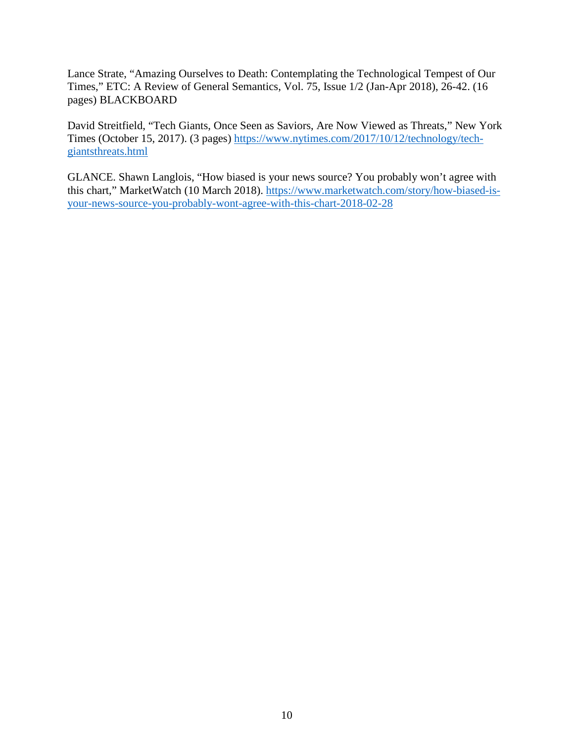Lance Strate, "Amazing Ourselves to Death: Contemplating the Technological Tempest of Our Times," ETC: A Review of General Semantics, Vol. 75, Issue 1/2 (Jan-Apr 2018), 26-42. (16 pages) BLACKBOARD

David Streitfield, "Tech Giants, Once Seen as Saviors, Are Now Viewed as Threats," New York Times (October 15, 2017). (3 pages) [https://www.nytimes.com/2017/10/12/technology/tech](https://www.nytimes.com/2017/10/12/technology/tech-giantsthreats.html)[giantsthreats.html](https://www.nytimes.com/2017/10/12/technology/tech-giantsthreats.html)

GLANCE. Shawn Langlois, "How biased is your news source? You probably won't agree with this chart," MarketWatch (10 March 2018). [https://www.marketwatch.com/story/how-biased-is](https://www.marketwatch.com/story/how-biased-is-your-news-source-you-probably-wont-agree-with-this-chart-2018-02-28)[your-news-source-you-probably-wont-agree-with-this-chart-2018-02-28](https://www.marketwatch.com/story/how-biased-is-your-news-source-you-probably-wont-agree-with-this-chart-2018-02-28)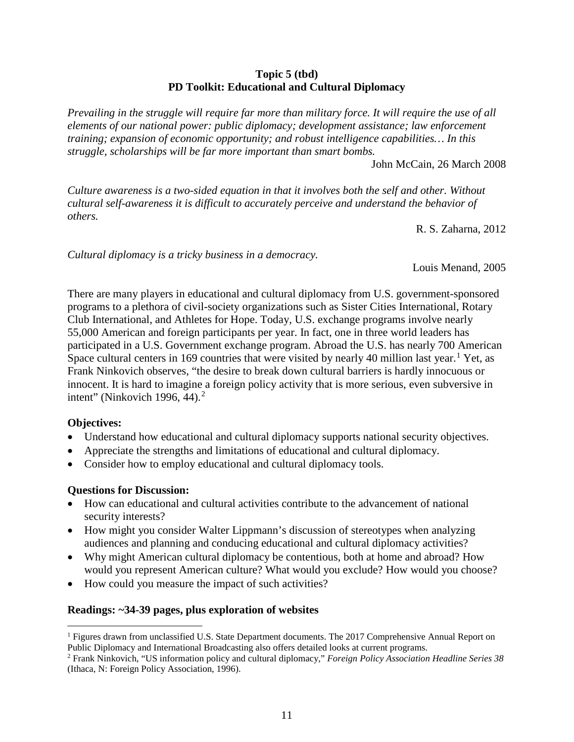#### **Topic 5 (tbd) PD Toolkit: Educational and Cultural Diplomacy**

*Prevailing in the struggle will require far more than military force. It will require the use of all elements of our national power: public diplomacy; development assistance; law enforcement training; expansion of economic opportunity; and robust intelligence capabilities… In this struggle, scholarships will be far more important than smart bombs.*

John McCain, 26 March 2008

*Culture awareness is a two-sided equation in that it involves both the self and other. Without cultural self-awareness it is difficult to accurately perceive and understand the behavior of others.* 

R. S. Zaharna, 2012

*Cultural diplomacy is a tricky business in a democracy.* 

Louis Menand, 2005

There are many players in educational and cultural diplomacy from U.S. government-sponsored programs to a plethora of civil-society organizations such as Sister Cities International, Rotary Club International, and Athletes for Hope. Today, U.S. exchange programs involve nearly 55,000 American and foreign participants per year. In fact, one in three world leaders has participated in a U.S. Government exchange program. Abroad the U.S. has nearly 700 American Space cultural centers in [1](#page-11-0)69 countries that were visited by nearly 40 million last year.<sup>1</sup> Yet, as Frank Ninkovich observes, "the desire to break down cultural barriers is hardly innocuous or innocent. It is hard to imagine a foreign policy activity that is more serious, even subversive in intent" (Ninkovich 1996, 44). $<sup>2</sup>$  $<sup>2</sup>$  $<sup>2</sup>$ </sup>

#### **Objectives:**

- Understand how educational and cultural diplomacy supports national security objectives.
- Appreciate the strengths and limitations of educational and cultural diplomacy.
- Consider how to employ educational and cultural diplomacy tools.

#### **Questions for Discussion:**

- How can educational and cultural activities contribute to the advancement of national security interests?
- How might you consider Walter Lippmann's discussion of stereotypes when analyzing audiences and planning and conducing educational and cultural diplomacy activities?
- Why might American cultural diplomacy be contentious, both at home and abroad? How would you represent American culture? What would you exclude? How would you choose?
- How could you measure the impact of such activities?

#### **Readings: ~34-39 pages, plus exploration of websites**

<span id="page-11-0"></span> $<sup>1</sup>$  Figures drawn from unclassified U.S. State Department documents. The 2017 Comprehensive Annual Report on</sup> Public Diplomacy and International Broadcasting also offers detailed looks at current programs.

<span id="page-11-1"></span><sup>2</sup> Frank Ninkovich, "US information policy and cultural diplomacy," *Foreign Policy Association Headline Series 38* (Ithaca, N: Foreign Policy Association, 1996).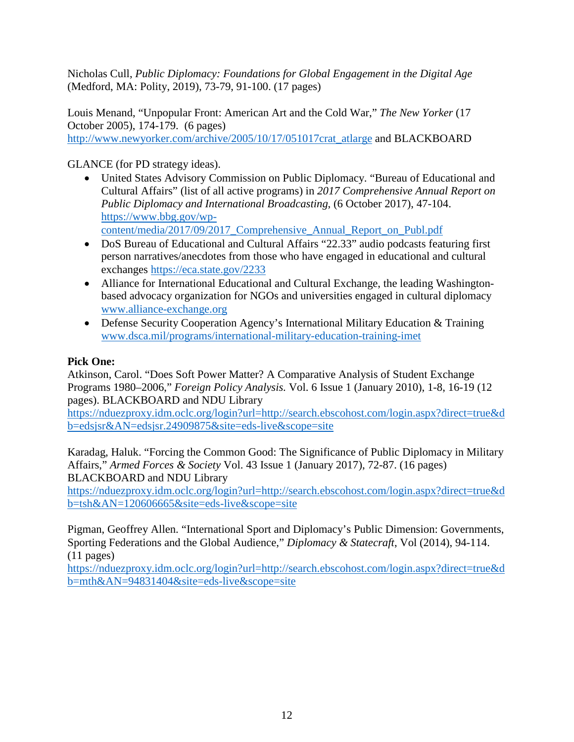Nicholas Cull, *Public Diplomacy: Foundations for Global Engagement in the Digital Age* (Medford, MA: Polity, 2019), 73-79, 91-100. (17 pages)

Louis Menand, "Unpopular Front: American Art and the Cold War," *The New Yorker* (17 October 2005), 174-179. (6 pages) [http://www.newyorker.com/archive/2005/10/17/051017crat\\_atlarge](http://www.newyorker.com/archive/2005/10/17/051017crat_atlarge) and BLACKBOARD

GLANCE (for PD strategy ideas).

- United States Advisory Commission on Public Diplomacy. "Bureau of Educational and Cultural Affairs" (list of all active programs) in *2017 Comprehensive Annual Report on Public Diplomacy and International Broadcasting*, (6 October 2017), 47-104. https://www.bbg.gov/wpcontent/media/2017/09/2017\_Comprehensive\_Annual\_Report\_on\_Publ.pdf
- DoS Bureau of Educational and Cultural Affairs "22.33" audio podcasts featuring first person narratives/anecdotes from those who have engaged in educational and cultural exchanges<https://eca.state.gov/2233>
- Alliance for International Educational and Cultural Exchange, the leading Washingtonbased advocacy organization for NGOs and universities engaged in cultural diplomacy [www.alliance-exchange.org](http://www.alliance-exchange.org/)
- Defense Security Cooperation Agency's International Military Education & Training [www.dsca.mil/programs/international-military-education-training-imet](http://www.dsca.mil/programs/international-military-education-training-imet)

# **Pick One:**

Atkinson, Carol. "Does Soft Power Matter? A Comparative Analysis of Student Exchange Programs 1980–2006," *Foreign Policy Analysis.* Vol. 6 Issue 1 (January 2010), 1-8, 16-19 (12 pages). BLACKBOARD and NDU Library

[https://nduezproxy.idm.oclc.org/login?url=http://search.ebscohost.com/login.aspx?direct=true&d](https://nduezproxy.idm.oclc.org/login?url=http://search.ebscohost.com/login.aspx?direct=true&db=edsjsr&AN=edsjsr.24909875&site=eds-live&scope=site) [b=edsjsr&AN=edsjsr.24909875&site=eds-live&scope=site](https://nduezproxy.idm.oclc.org/login?url=http://search.ebscohost.com/login.aspx?direct=true&db=edsjsr&AN=edsjsr.24909875&site=eds-live&scope=site)

Karadag, Haluk. "Forcing the Common Good: The Significance of Public Diplomacy in Military Affairs," *Armed Forces & Society* Vol. 43 Issue 1 (January 2017), 72-87. (16 pages) BLACKBOARD and NDU Library

[https://nduezproxy.idm.oclc.org/login?url=http://search.ebscohost.com/login.aspx?direct=true&d](https://nduezproxy.idm.oclc.org/login?url=http://search.ebscohost.com/login.aspx?direct=true&db=tsh&AN=120606665&site=eds-live&scope=site) [b=tsh&AN=120606665&site=eds-live&scope=site](https://nduezproxy.idm.oclc.org/login?url=http://search.ebscohost.com/login.aspx?direct=true&db=tsh&AN=120606665&site=eds-live&scope=site)

Pigman, Geoffrey Allen. "International Sport and Diplomacy's Public Dimension: Governments, Sporting Federations and the Global Audience," *Diplomacy & Statecraft*, Vol (2014), 94-114. (11 pages)

[https://nduezproxy.idm.oclc.org/login?url=http://search.ebscohost.com/login.aspx?direct=true&d](https://nduezproxy.idm.oclc.org/login?url=http://search.ebscohost.com/login.aspx?direct=true&db=mth&AN=94831404&site=eds-live&scope=site) [b=mth&AN=94831404&site=eds-live&scope=site](https://nduezproxy.idm.oclc.org/login?url=http://search.ebscohost.com/login.aspx?direct=true&db=mth&AN=94831404&site=eds-live&scope=site)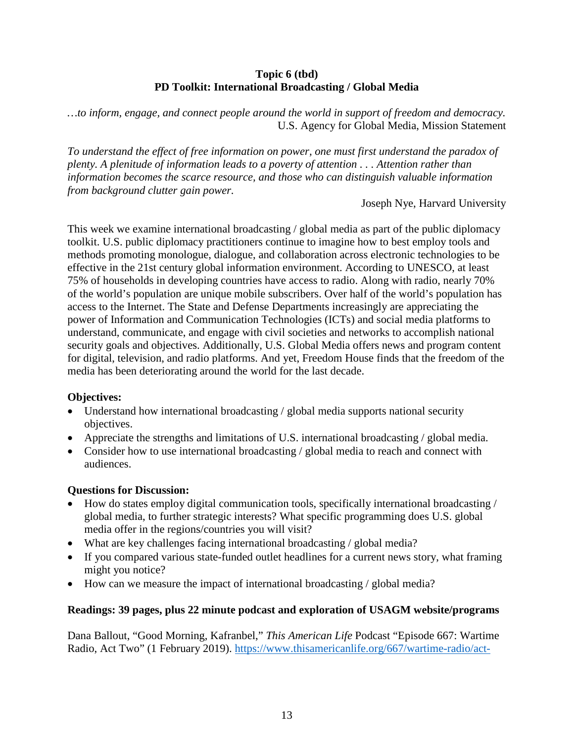#### **Topic 6 (tbd) PD Toolkit: International Broadcasting / Global Media**

*…to inform, engage, and connect people around the world in support of freedom and democracy.* U.S. Agency for Global Media, Mission Statement

*To understand the effect of free information on power, one must first understand the paradox of plenty. A plenitude of information leads to a poverty of attention . . . Attention rather than information becomes the scarce resource, and those who can distinguish valuable information from background clutter gain power.*

Joseph Nye, Harvard University

This week we examine international broadcasting / global media as part of the public diplomacy toolkit. U.S. public diplomacy practitioners continue to imagine how to best employ tools and methods promoting monologue, dialogue, and collaboration across electronic technologies to be effective in the 21st century global information environment. According to UNESCO, at least 75% of households in developing countries have access to radio. Along with radio, nearly 70% of the world's population are unique mobile subscribers. Over half of the world's population has access to the Internet. The State and Defense Departments increasingly are appreciating the power of Information and Communication Technologies (ICTs) and social media platforms to understand, communicate, and engage with civil societies and networks to accomplish national security goals and objectives. Additionally, U.S. Global Media offers news and program content for digital, television, and radio platforms. And yet, Freedom House finds that the freedom of the media has been deteriorating around the world for the last decade.

#### **Objectives:**

- Understand how international broadcasting / global media supports national security objectives.
- Appreciate the strengths and limitations of U.S. international broadcasting / global media.
- Consider how to use international broadcasting / global media to reach and connect with audiences.

#### **Questions for Discussion:**

- How do states employ digital communication tools, specifically international broadcasting / global media, to further strategic interests? What specific programming does U.S. global media offer in the regions/countries you will visit?
- What are key challenges facing international broadcasting / global media?
- If you compared various state-funded outlet headlines for a current news story, what framing might you notice?
- How can we measure the impact of international broadcasting / global media?

#### **Readings: 39 pages, plus 22 minute podcast and exploration of USAGM website/programs**

Dana Ballout, "Good Morning, Kafranbel," *This American Life* Podcast "Episode 667: Wartime Radio, Act Two" (1 February 2019). [https://www.thisamericanlife.org/667/wartime-radio/act-](https://www.thisamericanlife.org/667/wartime-radio/act-two-5)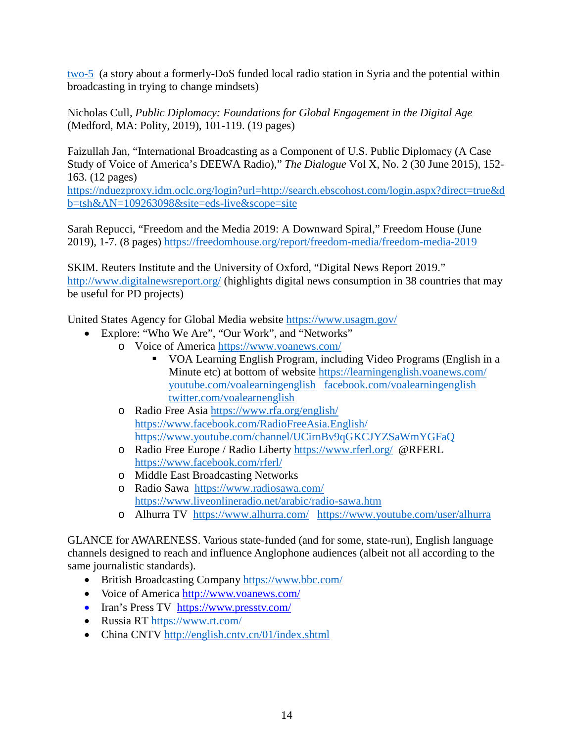[two-5](https://www.thisamericanlife.org/667/wartime-radio/act-two-5) (a story about a formerly-DoS funded local radio station in Syria and the potential within broadcasting in trying to change mindsets)

Nicholas Cull, *Public Diplomacy: Foundations for Global Engagement in the Digital Age* (Medford, MA: Polity, 2019), 101-119. (19 pages)

Faizullah Jan, "International Broadcasting as a Component of U.S. Public Diplomacy (A Case Study of Voice of America's DEEWA Radio)," *The Dialogue* Vol X, No. 2 (30 June 2015), 152- 163. (12 pages)

[https://nduezproxy.idm.oclc.org/login?url=http://search.ebscohost.com/login.aspx?direct=true&d](https://nduezproxy.idm.oclc.org/login?url=http://search.ebscohost.com/login.aspx?direct=true&db=tsh&AN=109263098&site=eds-live&scope=site) [b=tsh&AN=109263098&site=eds-live&scope=site](https://nduezproxy.idm.oclc.org/login?url=http://search.ebscohost.com/login.aspx?direct=true&db=tsh&AN=109263098&site=eds-live&scope=site)

Sarah Repucci, "Freedom and the Media 2019: A Downward Spiral," Freedom House (June 2019), 1-7. (8 pages)<https://freedomhouse.org/report/freedom-media/freedom-media-2019>

SKIM. Reuters Institute and the University of Oxford, "Digital News Report 2019." <http://www.digitalnewsreport.org/> (highlights digital news consumption in 38 countries that may be useful for PD projects)

United States Agency for Global Media website https://www.usagm.gov/

- Explore: "Who We Are", "Our Work", and "Networks"
	- o Voice of America<https://www.voanews.com/>
		- VOA Learning English Program, including Video Programs (English in a Minute etc) at bottom of website <https://learningenglish.voanews.com/> [youtube.com/voalearningenglish](http://youtube.com/voalearningenglish) [facebook.com/voalearningenglish](http://facebook.com/voalearningenglish)  [twitter.com/voalearnenglish](http://facebook.com/voalearningenglish)
	- o Radio Free Asia<https://www.rfa.org/english/> <https://www.facebook.com/RadioFreeAsia.English/> <https://www.youtube.com/channel/UCirnBv9qGKCJYZSaWmYGFaQ>
	- o Radio Free Europe / Radio Liberty<https://www.rferl.org/>@RFERL <https://www.facebook.com/rferl/>
	- o Middle East Broadcasting Networks
	- o Radio Sawa <https://www.radiosawa.com/> <https://www.liveonlineradio.net/arabic/radio-sawa.htm>
	- o Alhurra TV <https://www.alhurra.com/><https://www.youtube.com/user/alhurra>

GLANCE for AWARENESS. Various state-funded (and for some, state-run), English language channels designed to reach and influence Anglophone audiences (albeit not all according to the same journalistic standards).

- British Broadcasting Company<https://www.bbc.com/>
- Voice of America<http://www.voanews.com/>
- Iran's Press TV [https://www.presstv.com/](http://www.presstv.ir/)
- Russia RT<https://www.rt.com/>
- China CNTV<http://english.cntv.cn/01/index.shtml>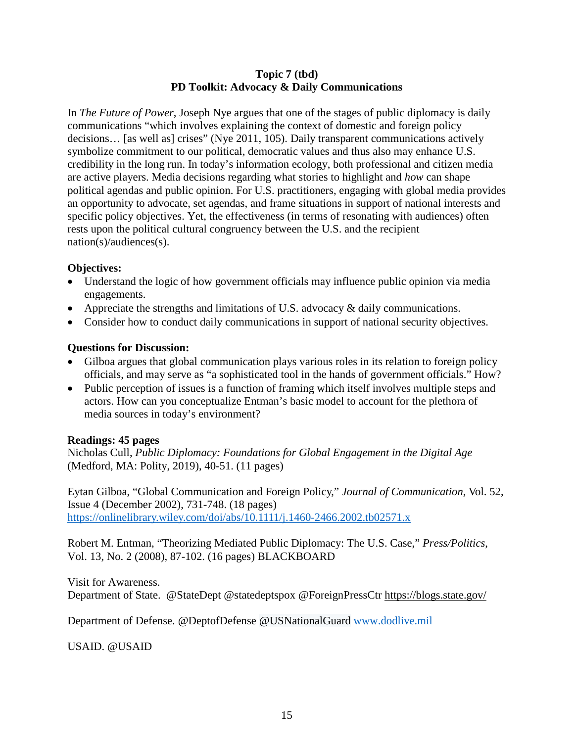#### **Topic 7 (tbd) PD Toolkit: Advocacy & Daily Communications**

In *The Future of Power*, Joseph Nye argues that one of the stages of public diplomacy is daily communications "which involves explaining the context of domestic and foreign policy decisions… [as well as] crises" (Nye 2011, 105). Daily transparent communications actively symbolize commitment to our political, democratic values and thus also may enhance U.S. credibility in the long run. In today's information ecology, both professional and citizen media are active players. Media decisions regarding what stories to highlight and *how* can shape political agendas and public opinion. For U.S. practitioners, engaging with global media provides an opportunity to advocate, set agendas, and frame situations in support of national interests and specific policy objectives. Yet, the effectiveness (in terms of resonating with audiences) often rests upon the political cultural congruency between the U.S. and the recipient nation(s)/audiences(s).

#### **Objectives:**

- Understand the logic of how government officials may influence public opinion via media engagements.
- Appreciate the strengths and limitations of U.S. advocacy & daily communications.
- Consider how to conduct daily communications in support of national security objectives.

# **Questions for Discussion:**

- Gilboa argues that global communication plays various roles in its relation to foreign policy officials, and may serve as "a sophisticated tool in the hands of government officials." How?
- Public perception of issues is a function of framing which itself involves multiple steps and actors. How can you conceptualize Entman's basic model to account for the plethora of media sources in today's environment?

# **Readings: 45 pages**

Nicholas Cull, *Public Diplomacy: Foundations for Global Engagement in the Digital Age* (Medford, MA: Polity, 2019), 40-51. (11 pages)

Eytan Gilboa, "Global Communication and Foreign Policy," *Journal of Communication*, Vol. 52, Issue 4 (December 2002), 731-748. (18 pages) <https://onlinelibrary.wiley.com/doi/abs/10.1111/j.1460-2466.2002.tb02571.x>

Robert M. Entman, "Theorizing Mediated Public Diplomacy: The U.S. Case," *Press/Politics*, Vol. 13, No. 2 (2008), 87-102. (16 pages) BLACKBOARD

Visit for Awareness. Department of State. @StateDept @statedeptspox @ForeignPressCtr<https://blogs.state.gov/>

Department of Defense. @DeptofDefense @USNationalGuard [www.dodlive.mil](http://www.dodlive.mil/)

USAID. @USAID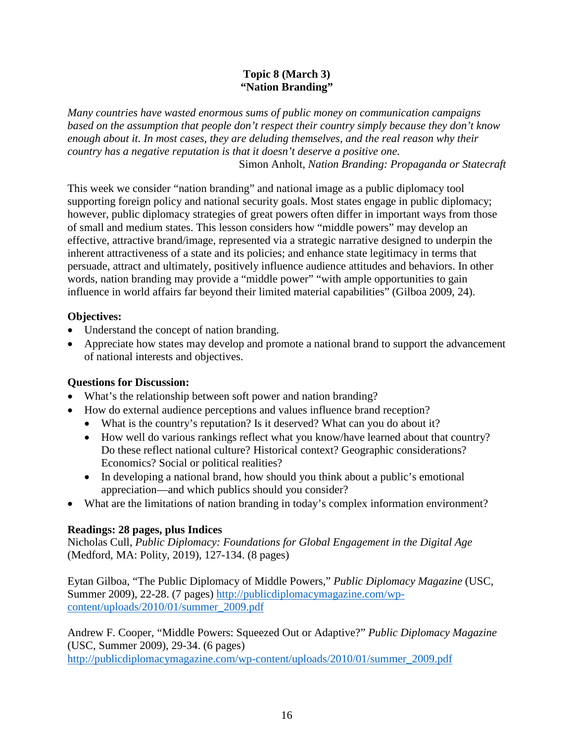#### **Topic 8 (March 3) "Nation Branding"**

*Many countries have wasted enormous sums of public money on communication campaigns based on the assumption that people don't respect their country simply because they don't know enough about it. In most cases, they are deluding themselves, and the real reason why their country has a negative reputation is that it doesn't deserve a positive one.* Simon Anholt, *Nation Branding: Propaganda or Statecraft*

This week we consider "nation branding" and national image as a public diplomacy tool supporting foreign policy and national security goals. Most states engage in public diplomacy; however, public diplomacy strategies of great powers often differ in important ways from those of small and medium states. This lesson considers how "middle powers" may develop an effective, attractive brand/image, represented via a strategic narrative designed to underpin the inherent attractiveness of a state and its policies; and enhance state legitimacy in terms that persuade, attract and ultimately, positively influence audience attitudes and behaviors. In other words, nation branding may provide a "middle power" "with ample opportunities to gain influence in world affairs far beyond their limited material capabilities" (Gilboa 2009, 24).

# **Objectives:**

- Understand the concept of nation branding.
- Appreciate how states may develop and promote a national brand to support the advancement of national interests and objectives.

#### **Questions for Discussion:**

- What's the relationship between soft power and nation branding?
- How do external audience perceptions and values influence brand reception?
	- What is the country's reputation? Is it deserved? What can you do about it?
	- How well do various rankings reflect what you know/have learned about that country? Do these reflect national culture? Historical context? Geographic considerations? Economics? Social or political realities?
	- In developing a national brand, how should you think about a public's emotional appreciation—and which publics should you consider?
- What are the limitations of nation branding in today's complex information environment?

# **Readings: 28 pages, plus Indices**

Nicholas Cull, *Public Diplomacy: Foundations for Global Engagement in the Digital Age* (Medford, MA: Polity, 2019), 127-134. (8 pages)

Eytan Gilboa, "The Public Diplomacy of Middle Powers," *Public Diplomacy Magazine* (USC, Summer 2009), 22-28. (7 pages) [http://publicdiplomacymagazine.com/wp](http://publicdiplomacymagazine.com/wp-content/uploads/2010/01/summer_2009.pdf)[content/uploads/2010/01/summer\\_2009.pdf](http://publicdiplomacymagazine.com/wp-content/uploads/2010/01/summer_2009.pdf)

Andrew F. Cooper, "Middle Powers: Squeezed Out or Adaptive?" *Public Diplomacy Magazine* (USC, Summer 2009), 29-34. (6 pages)

[http://publicdiplomacymagazine.com/wp-content/uploads/2010/01/summer\\_2009.pdf](http://publicdiplomacymagazine.com/wp-content/uploads/2010/01/summer_2009.pdf)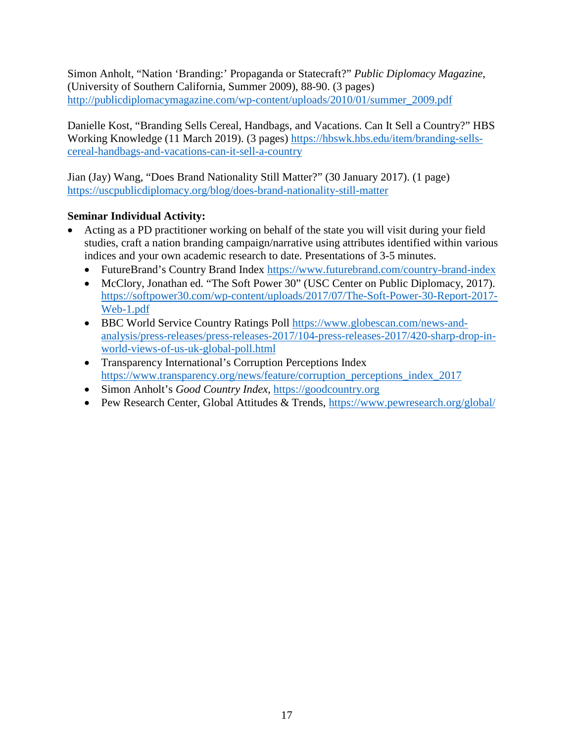Simon Anholt, "Nation 'Branding:' Propaganda or Statecraft?" *Public Diplomacy Magazine,* (University of Southern California, Summer 2009), 88-90. (3 pages) [http://publicdiplomacymagazine.com/wp-content/uploads/2010/01/summer\\_2009.pdf](http://publicdiplomacymagazine.com/wp-content/uploads/2010/01/summer_2009.pdf)

Danielle Kost, "Branding Sells Cereal, Handbags, and Vacations. Can It Sell a Country?" HBS Working Knowledge (11 March 2019). (3 pages) [https://hbswk.hbs.edu/item/branding-sells](https://hbswk.hbs.edu/item/branding-sells-cereal-handbags-and-vacations-can-it-sell-a-country)[cereal-handbags-and-vacations-can-it-sell-a-country](https://hbswk.hbs.edu/item/branding-sells-cereal-handbags-and-vacations-can-it-sell-a-country)

Jian (Jay) Wang, "Does Brand Nationality Still Matter?" (30 January 2017). (1 page) <https://uscpublicdiplomacy.org/blog/does-brand-nationality-still-matter>

# **Seminar Individual Activity:**

- Acting as a PD practitioner working on behalf of the state you will visit during your field studies, craft a nation branding campaign/narrative using attributes identified within various indices and your own academic research to date. Presentations of 3-5 minutes.
	- FutureBrand's Country Brand Index<https://www.futurebrand.com/country-brand-index>
	- McClory, Jonathan ed. "The Soft Power 30" (USC Center on Public Diplomacy, 2017). [https://softpower30.com/wp-content/uploads/2017/07/The-Soft-Power-30-Report-2017-](https://softpower30.com/wp-content/uploads/2017/07/The-Soft-Power-30-Report-2017-Web-1.pdf) [Web-1.pdf](https://softpower30.com/wp-content/uploads/2017/07/The-Soft-Power-30-Report-2017-Web-1.pdf)
	- BBC World Service Country Ratings Poll [https://www.globescan.com/news-and](https://www.globescan.com/news-and-analysis/press-releases/press-releases-2017/104-press-releases-2017/420-sharp-drop-in-world-views-of-us-uk-global-poll.html)[analysis/press-releases/press-releases-2017/104-press-releases-2017/420-sharp-drop-in](https://www.globescan.com/news-and-analysis/press-releases/press-releases-2017/104-press-releases-2017/420-sharp-drop-in-world-views-of-us-uk-global-poll.html)[world-views-of-us-uk-global-poll.html](https://www.globescan.com/news-and-analysis/press-releases/press-releases-2017/104-press-releases-2017/420-sharp-drop-in-world-views-of-us-uk-global-poll.html)
	- Transparency International's Corruption Perceptions Index [https://www.transparency.org/news/feature/corruption\\_perceptions\\_index\\_2017](https://www.transparency.org/news/feature/corruption_perceptions_index_2017)
	- Simon Anholt's *Good Country Index,* [https://goodcountry.org](https://goodcountry.org/)
	- Pew Research Center, Global Attitudes & Trends,<https://www.pewresearch.org/global/>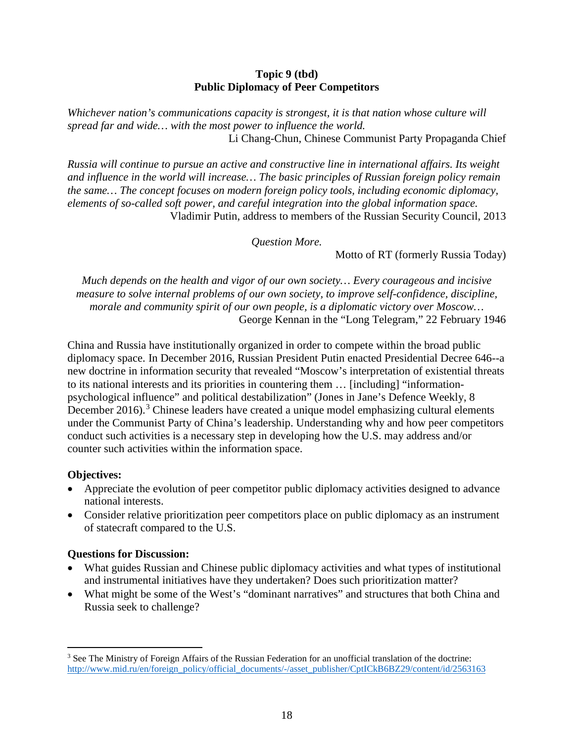#### **Topic 9 (tbd) Public Diplomacy of Peer Competitors**

*Whichever nation's communications capacity is strongest, it is that nation whose culture will spread far and wide… with the most power to influence the world.* Li Chang-Chun, Chinese Communist Party Propaganda Chief

*Russia will continue to pursue an active and constructive line in international affairs. Its weight and influence in the world will increase… The basic principles of Russian foreign policy remain the same… The concept focuses on modern foreign policy tools, including economic diplomacy, elements of so-called soft power, and careful integration into the global information space.*  Vladimir Putin, address to members of the Russian Security Council, 2013

*Question More.*

Motto of RT (formerly Russia Today)

*Much depends on the health and vigor of our own society… Every courageous and incisive measure to solve internal problems of our own society, to improve self-confidence, discipline, morale and community spirit of our own people, is a diplomatic victory over Moscow…* George Kennan in the "Long Telegram," 22 February 1946

China and Russia have institutionally organized in order to compete within the broad public diplomacy space. In December 2016, Russian President Putin enacted Presidential Decree 646--a new doctrine in information security that revealed "Moscow's interpretation of existential threats to its national interests and its priorities in countering them … [including] "informationpsychological influence" and political destabilization" (Jones in Jane's Defence Weekly, 8 December 2016).<sup>[3](#page-18-0)</sup> Chinese leaders have created a unique model emphasizing cultural elements under the Communist Party of China's leadership. Understanding why and how peer competitors conduct such activities is a necessary step in developing how the U.S. may address and/or counter such activities within the information space.

#### **Objectives:**

- Appreciate the evolution of peer competitor public diplomacy activities designed to advance national interests.
- Consider relative prioritization peer competitors place on public diplomacy as an instrument of statecraft compared to the U.S.

#### **Questions for Discussion:**

- What guides Russian and Chinese public diplomacy activities and what types of institutional and instrumental initiatives have they undertaken? Does such prioritization matter?
- What might be some of the West's "dominant narratives" and structures that both China and Russia seek to challenge?

<span id="page-18-0"></span><sup>&</sup>lt;sup>3</sup> See The Ministry of Foreign Affairs of the Russian Federation for an unofficial translation of the doctrine: http://www.mid.ru/en/foreign\_policy/official\_documents/-/asset\_publisher/CptICkB6BZ29/content/id/2563163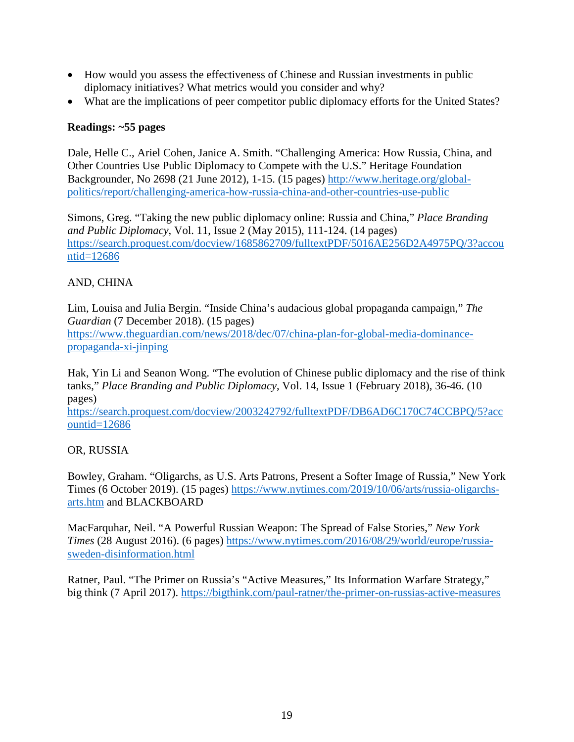- How would you assess the effectiveness of Chinese and Russian investments in public diplomacy initiatives? What metrics would you consider and why?
- What are the implications of peer competitor public diplomacy efforts for the United States?

#### **Readings: ~55 pages**

Dale, Helle C., Ariel Cohen, Janice A. Smith. "Challenging America: How Russia, China, and Other Countries Use Public Diplomacy to Compete with the U.S." Heritage Foundation Backgrounder, No 2698 (21 June 2012), 1-15. (15 pages) [http://www.heritage.org/global](http://www.heritage.org/global-politics/report/challenging-america-how-russia-china-and-other-countries-use-public)[politics/report/challenging-america-how-russia-china-and-other-countries-use-public](http://www.heritage.org/global-politics/report/challenging-america-how-russia-china-and-other-countries-use-public)

Simons, Greg. "Taking the new public diplomacy online: Russia and China," *Place Branding and Public Diplomacy*, Vol. 11, Issue 2 (May 2015), 111-124. (14 pages) [https://search.proquest.com/docview/1685862709/fulltextPDF/5016AE256D2A4975PQ/3?accou](https://search.proquest.com/docview/1685862709/fulltextPDF/5016AE256D2A4975PQ/3?accountid=12686) [ntid=12686](https://search.proquest.com/docview/1685862709/fulltextPDF/5016AE256D2A4975PQ/3?accountid=12686)

# AND, CHINA

Lim, Louisa and Julia Bergin. "Inside China's audacious global propaganda campaign," *The Guardian* (7 December 2018). (15 pages)

[https://www.theguardian.com/news/2018/dec/07/china-plan-for-global-media-dominance](https://www.theguardian.com/news/2018/dec/07/china-plan-for-global-media-dominance-propaganda-xi-jinping)[propaganda-xi-jinping](https://www.theguardian.com/news/2018/dec/07/china-plan-for-global-media-dominance-propaganda-xi-jinping)

Hak, Yin Li and Seanon Wong. "The evolution of Chinese public diplomacy and the rise of think tanks," *Place Branding and Public Diplomacy*, Vol. 14, Issue 1 (February 2018), 36-46. (10 pages)

[https://search.proquest.com/docview/2003242792/fulltextPDF/DB6AD6C170C74CCBPQ/5?acc](https://search.proquest.com/docview/2003242792/fulltextPDF/DB6AD6C170C74CCBPQ/5?accountid=12686) [ountid=12686](https://search.proquest.com/docview/2003242792/fulltextPDF/DB6AD6C170C74CCBPQ/5?accountid=12686)

#### OR, RUSSIA

Bowley, Graham. "Oligarchs, as U.S. Arts Patrons, Present a Softer Image of Russia," New York Times (6 October 2019). (15 pages) [https://www.nytimes.com/2019/10/06/arts/russia-oligarchs](https://www.nytimes.com/2019/10/06/arts/russia-oligarchs-arts.htm)[arts.htm](https://www.nytimes.com/2019/10/06/arts/russia-oligarchs-arts.htm) and BLACKBOARD

MacFarquhar, Neil. "A Powerful Russian Weapon: The Spread of False Stories," *New York Times* (28 August 2016). (6 pages) [https://www.nytimes.com/2016/08/29/world/europe/russia](https://www.nytimes.com/2016/08/29/world/europe/russia-sweden-disinformation.html)[sweden-disinformation.html](https://www.nytimes.com/2016/08/29/world/europe/russia-sweden-disinformation.html)

Ratner, Paul. "The Primer on Russia's "Active Measures," Its Information Warfare Strategy," big think (7 April 2017).<https://bigthink.com/paul-ratner/the-primer-on-russias-active-measures>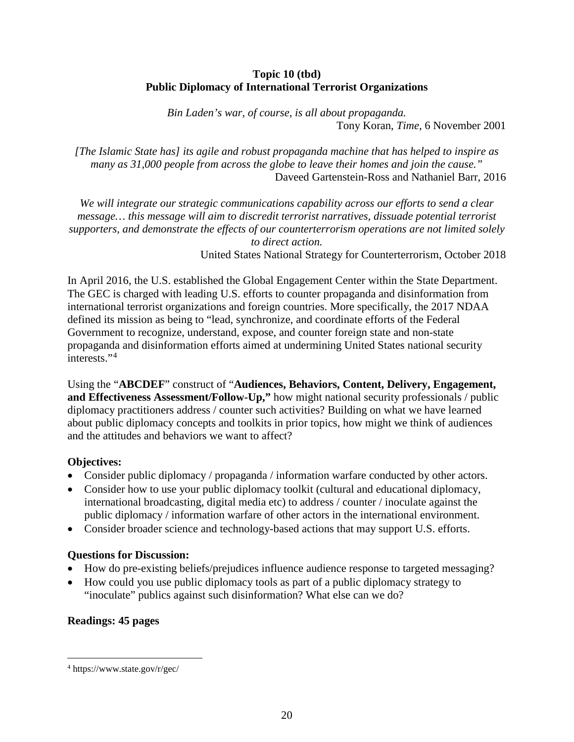#### **Topic 10 (tbd) Public Diplomacy of International Terrorist Organizations**

*Bin Laden's war, of course, is all about propaganda.* Tony Koran, *Time*, 6 November 2001

*[The Islamic State has] its agile and robust propaganda machine that has helped to inspire as many as 31,000 people from across the globe to leave their homes and join the cause."* Daveed Gartenstein-Ross and Nathaniel Barr, 2016

*We will integrate our strategic communications capability across our efforts to send a clear message… this message will aim to discredit terrorist narratives, dissuade potential terrorist supporters, and demonstrate the effects of our counterterrorism operations are not limited solely to direct action.*

United States National Strategy for Counterterrorism, October 2018

In April 2016, the U.S. established the Global Engagement Center within the State Department. The GEC is charged with leading U.S. efforts to counter propaganda and disinformation from international terrorist organizations and foreign countries. More specifically, the 2017 NDAA defined its mission as being to "lead, synchronize, and coordinate efforts of the Federal Government to recognize, understand, expose, and counter foreign state and non-state propaganda and disinformation efforts aimed at undermining United States national security interests."<sup>[4](#page-20-0)</sup>

Using the "**ABCDEF**" construct of "**Audiences, Behaviors, Content, Delivery, Engagement, and Effectiveness Assessment/Follow-Up,"** how might national security professionals / public diplomacy practitioners address / counter such activities? Building on what we have learned about public diplomacy concepts and toolkits in prior topics, how might we think of audiences and the attitudes and behaviors we want to affect?

# **Objectives:**

- Consider public diplomacy / propaganda / information warfare conducted by other actors.
- Consider how to use your public diplomacy toolkit (cultural and educational diplomacy, international broadcasting, digital media etc) to address / counter / inoculate against the public diplomacy / information warfare of other actors in the international environment.
- Consider broader science and technology-based actions that may support U.S. efforts.

# **Questions for Discussion:**

- How do pre-existing beliefs/prejudices influence audience response to targeted messaging?
- How could you use public diplomacy tools as part of a public diplomacy strategy to "inoculate" publics against such disinformation? What else can we do?

# **Readings: 45 pages**

<span id="page-20-0"></span> <sup>4</sup> https://www.state.gov/r/gec/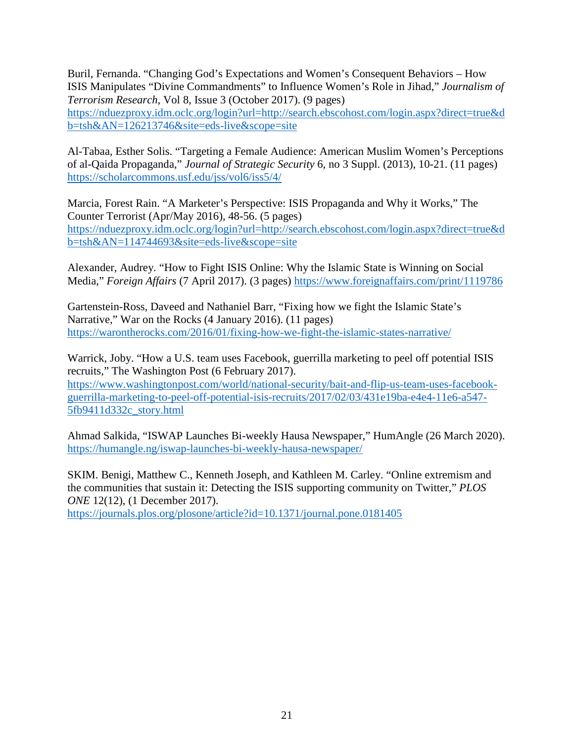Buril, Fernanda. "Changing God's Expectations and Women's Consequent Behaviors – How ISIS Manipulates "Divine Commandments" to Influence Women's Role in Jihad," *Journalism of Terrorism Research*, Vol 8, Issue 3 (October 2017). (9 pages)

[https://nduezproxy.idm.oclc.org/login?url=http://search.ebscohost.com/login.aspx?direct=true&d](https://nduezproxy.idm.oclc.org/login?url=http://search.ebscohost.com/login.aspx?direct=true&db=tsh&AN=126213746&site=eds-live&scope=site) [b=tsh&AN=126213746&site=eds-live&scope=site](https://nduezproxy.idm.oclc.org/login?url=http://search.ebscohost.com/login.aspx?direct=true&db=tsh&AN=126213746&site=eds-live&scope=site)

Al-Tabaa, Esther Solis. "Targeting a Female Audience: American Muslim Women's Perceptions of al-Qaida Propaganda," *Journal of Strategic Security* 6, no 3 Suppl. (2013), 10-21. (11 pages) <https://scholarcommons.usf.edu/jss/vol6/iss5/4/>

Marcia, Forest Rain. "A Marketer's Perspective: ISIS Propaganda and Why it Works," The Counter Terrorist (Apr/May 2016), 48-56. (5 pages) [https://nduezproxy.idm.oclc.org/login?url=http://search.ebscohost.com/login.aspx?direct=true&d](https://nduezproxy.idm.oclc.org/login?url=http://search.ebscohost.com/login.aspx?direct=true&db=tsh&AN=114744693&site=eds-live&scope=site) [b=tsh&AN=114744693&site=eds-live&scope=site](https://nduezproxy.idm.oclc.org/login?url=http://search.ebscohost.com/login.aspx?direct=true&db=tsh&AN=114744693&site=eds-live&scope=site)

Alexander, Audrey. "How to Fight ISIS Online: Why the Islamic State is Winning on Social Media," *Foreign Affairs* (7 April 2017). (3 pages) <https://www.foreignaffairs.com/print/1119786>

Gartenstein-Ross, Daveed and Nathaniel Barr, "Fixing how we fight the Islamic State's Narrative," War on the Rocks (4 January 2016). (11 pages) <https://warontherocks.com/2016/01/fixing-how-we-fight-the-islamic-states-narrative/>

Warrick, Joby. "How a U.S. team uses Facebook, guerrilla marketing to peel off potential ISIS recruits," The Washington Post (6 February 2017).

[https://www.washingtonpost.com/world/national-security/bait-and-flip-us-team-uses-facebook](https://www.washingtonpost.com/world/national-security/bait-and-flip-us-team-uses-facebook-guerrilla-marketing-to-peel-off-potential-isis-recruits/2017/02/03/431e19ba-e4e4-11e6-a547-5fb9411d332c_story.html)[guerrilla-marketing-to-peel-off-potential-isis-recruits/2017/02/03/431e19ba-e4e4-11e6-a547-](https://www.washingtonpost.com/world/national-security/bait-and-flip-us-team-uses-facebook-guerrilla-marketing-to-peel-off-potential-isis-recruits/2017/02/03/431e19ba-e4e4-11e6-a547-5fb9411d332c_story.html) [5fb9411d332c\\_story.html](https://www.washingtonpost.com/world/national-security/bait-and-flip-us-team-uses-facebook-guerrilla-marketing-to-peel-off-potential-isis-recruits/2017/02/03/431e19ba-e4e4-11e6-a547-5fb9411d332c_story.html)

Ahmad Salkida, "ISWAP Launches Bi-weekly Hausa Newspaper," HumAngle (26 March 2020). <https://humangle.ng/iswap-launches-bi-weekly-hausa-newspaper/>

SKIM. Benigi, Matthew C., Kenneth Joseph, and Kathleen M. Carley. "Online extremism and the communities that sustain it: Detecting the ISIS supporting community on Twitter," *PLOS ONE* 12(12), (1 December 2017).

<https://journals.plos.org/plosone/article?id=10.1371/journal.pone.0181405>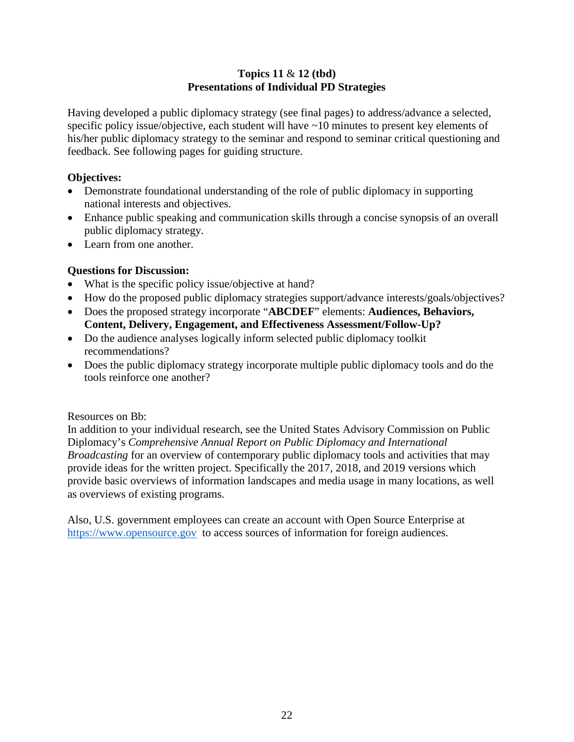#### **Topics 11** & **12 (tbd) Presentations of Individual PD Strategies**

Having developed a public diplomacy strategy (see final pages) to address/advance a selected, specific policy issue/objective, each student will have ~10 minutes to present key elements of his/her public diplomacy strategy to the seminar and respond to seminar critical questioning and feedback. See following pages for guiding structure.

#### **Objectives:**

- Demonstrate foundational understanding of the role of public diplomacy in supporting national interests and objectives.
- Enhance public speaking and communication skills through a concise synopsis of an overall public diplomacy strategy.
- Learn from one another.

# **Questions for Discussion:**

- What is the specific policy issue/objective at hand?
- How do the proposed public diplomacy strategies support/advance interests/goals/objectives?
- Does the proposed strategy incorporate "**ABCDEF**" elements: **Audiences, Behaviors, Content, Delivery, Engagement, and Effectiveness Assessment/Follow-Up?**
- Do the audience analyses logically inform selected public diplomacy toolkit recommendations?
- Does the public diplomacy strategy incorporate multiple public diplomacy tools and do the tools reinforce one another?

#### Resources on Bb:

In addition to your individual research, see the United States Advisory Commission on Public Diplomacy's *Comprehensive Annual Report on Public Diplomacy and International Broadcasting* for an overview of contemporary public diplomacy tools and activities that may provide ideas for the written project. Specifically the 2017, 2018, and 2019 versions which provide basic overviews of information landscapes and media usage in many locations, as well as overviews of existing programs.

Also, U.S. government employees can create an account with Open Source Enterprise at [https://www.opensource.gov](https://www.opensource.gov/) to access sources of information for foreign audiences.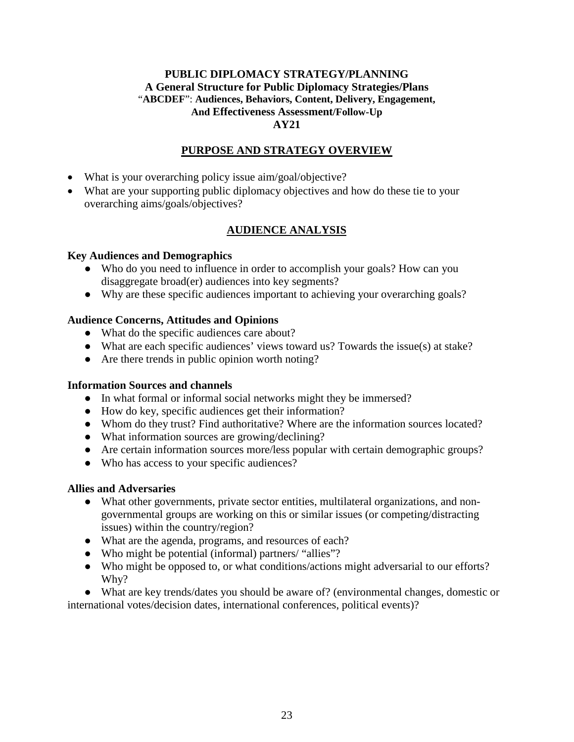#### **PUBLIC DIPLOMACY STRATEGY/PLANNING A General Structure for Public Diplomacy Strategies/Plans** "**ABCDEF**": **Audiences, Behaviors, Content, Delivery, Engagement, And Effectiveness Assessment/Follow-Up AY21**

#### **PURPOSE AND STRATEGY OVERVIEW**

- What is your overarching policy issue aim/goal/objective?
- What are your supporting public diplomacy objectives and how do these tie to your overarching aims/goals/objectives?

# **AUDIENCE ANALYSIS**

#### **Key Audiences and Demographics**

- Who do you need to influence in order to accomplish your goals? How can you disaggregate broad(er) audiences into key segments?
- Why are these specific audiences important to achieving your overarching goals?

#### **Audience Concerns, Attitudes and Opinions**

- What do the specific audiences care about?
- What are each specific audiences' views toward us? Towards the issue(s) at stake?
- Are there trends in public opinion worth noting?

#### **Information Sources and channels**

- In what formal or informal social networks might they be immersed?
- How do key, specific audiences get their information?
- Whom do they trust? Find authoritative? Where are the information sources located?
- What information sources are growing/declining?
- Are certain information sources more/less popular with certain demographic groups?
- Who has access to your specific audiences?

#### **Allies and Adversaries**

- What other governments, private sector entities, multilateral organizations, and nongovernmental groups are working on this or similar issues (or competing/distracting issues) within the country/region?
- What are the agenda, programs, and resources of each?
- Who might be potential (informal) partners/ "allies"?
- Who might be opposed to, or what conditions/actions might adversarial to our efforts? Why?

● What are key trends/dates you should be aware of? (environmental changes, domestic or international votes/decision dates, international conferences, political events)?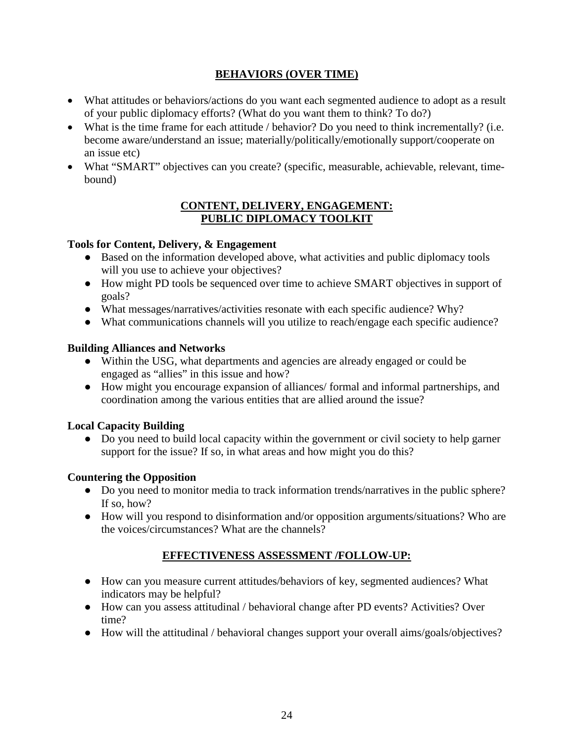# **BEHAVIORS (OVER TIME)**

- What attitudes or behaviors/actions do you want each segmented audience to adopt as a result of your public diplomacy efforts? (What do you want them to think? To do?)
- What is the time frame for each attitude / behavior? Do you need to think incrementally? (i.e. become aware/understand an issue; materially/politically/emotionally support/cooperate on an issue etc)
- What "SMART" objectives can you create? (specific, measurable, achievable, relevant, timebound)

#### **CONTENT, DELIVERY, ENGAGEMENT: PUBLIC DIPLOMACY TOOLKIT**

# **Tools for Content, Delivery, & Engagement**

- Based on the information developed above, what activities and public diplomacy tools will you use to achieve your objectives?
- How might PD tools be sequenced over time to achieve SMART objectives in support of goals?
- What messages/narratives/activities resonate with each specific audience? Why?
- What communications channels will you utilize to reach/engage each specific audience?

# **Building Alliances and Networks**

- Within the USG, what departments and agencies are already engaged or could be engaged as "allies" in this issue and how?
- How might you encourage expansion of alliances/ formal and informal partnerships, and coordination among the various entities that are allied around the issue?

# **Local Capacity Building**

• Do you need to build local capacity within the government or civil society to help garner support for the issue? If so, in what areas and how might you do this?

# **Countering the Opposition**

- Do you need to monitor media to track information trends/narratives in the public sphere? If so, how?
- How will you respond to disinformation and/or opposition arguments/situations? Who are the voices/circumstances? What are the channels?

# **EFFECTIVENESS ASSESSMENT /FOLLOW-UP:**

- How can you measure current attitudes/behaviors of key, segmented audiences? What indicators may be helpful?
- How can you assess attitudinal / behavioral change after PD events? Activities? Over time?
- How will the attitudinal / behavioral changes support your overall aims/goals/objectives?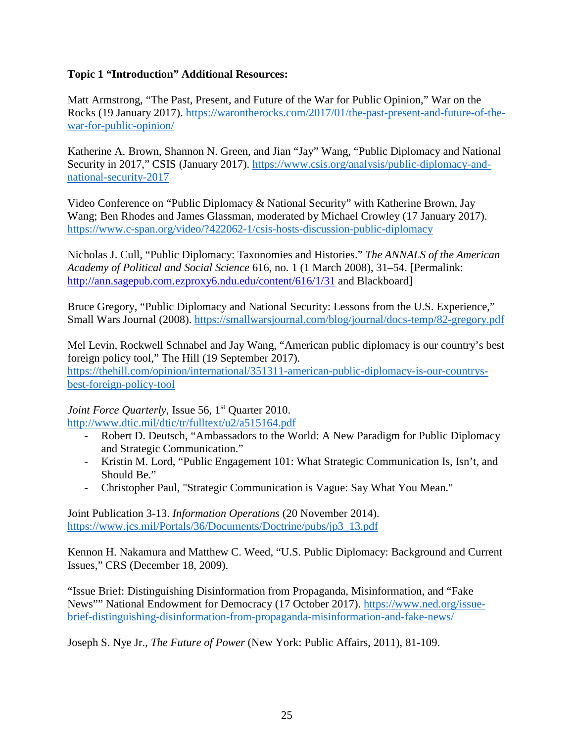#### **Topic 1 "Introduction" Additional Resources:**

Matt Armstrong, "The Past, Present, and Future of the War for Public Opinion," War on the Rocks (19 January 2017). [https://warontherocks.com/2017/01/the-past-present-and-future-of-the](https://warontherocks.com/2017/01/the-past-present-and-future-of-the-war-for-public-opinion/)[war-for-public-opinion/](https://warontherocks.com/2017/01/the-past-present-and-future-of-the-war-for-public-opinion/)

Katherine A. Brown, Shannon N. Green, and Jian "Jay" Wang, "Public Diplomacy and National Security in 2017," CSIS (January 2017). [https://www.csis.org/analysis/public-diplomacy-and](https://www.csis.org/analysis/public-diplomacy-and-national-security-2017)[national-security-2017](https://www.csis.org/analysis/public-diplomacy-and-national-security-2017)

Video Conference on "Public Diplomacy & National Security" with Katherine Brown, Jay Wang; Ben Rhodes and James Glassman, moderated by Michael Crowley (17 January 2017). <https://www.c-span.org/video/?422062-1/csis-hosts-discussion-public-diplomacy>

Nicholas J. Cull, "Public Diplomacy: Taxonomies and Histories." *The ANNALS of the American Academy of Political and Social Science* 616, no. 1 (1 March 2008), 31–54. [Permalink: <http://ann.sagepub.com.ezproxy6.ndu.edu/content/616/1/31> and Blackboard]

Bruce Gregory, "Public Diplomacy and National Security: Lessons from the U.S. Experience," Small Wars Journal (2008).<https://smallwarsjournal.com/blog/journal/docs-temp/82-gregory.pdf>

Mel Levin, Rockwell Schnabel and Jay Wang, "American public diplomacy is our country's best foreign policy tool," The Hill (19 September 2017). [https://thehill.com/opinion/international/351311-american-public-diplomacy-is-our-countrys](https://thehill.com/opinion/international/351311-american-public-diplomacy-is-our-countrys-best-foreign-policy-tool)[best-foreign-policy-tool](https://thehill.com/opinion/international/351311-american-public-diplomacy-is-our-countrys-best-foreign-policy-tool)

*Joint Force Quarterly*, Issue 56, 1<sup>st</sup> Quarter 2010.

<http://www.dtic.mil/dtic/tr/fulltext/u2/a515164.pdf>

- Robert D. Deutsch, "Ambassadors to the World: A New Paradigm for Public Diplomacy and Strategic Communication."
- Kristin M. Lord, "Public Engagement 101: What Strategic Communication Is, Isn't, and Should Be."
- Christopher Paul, "Strategic Communication is Vague: Say What You Mean."

Joint Publication 3-13. *Information Operations* (20 November 2014). [https://www.jcs.mil/Portals/36/Documents/Doctrine/pubs/jp3\\_13.pdf](https://www.jcs.mil/Portals/36/Documents/Doctrine/pubs/jp3_13.pdf)

Kennon H. Nakamura and Matthew C. Weed, "U.S. Public Diplomacy: Background and Current Issues," CRS (December 18, 2009).

"Issue Brief: Distinguishing Disinformation from Propaganda, Misinformation, and "Fake News"" National Endowment for Democracy (17 October 2017). [https://www.ned.org/issue](https://www.ned.org/issue-brief-distinguishing-disinformation-from-propaganda-misinformation-and-fake-news/)[brief-distinguishing-disinformation-from-propaganda-misinformation-and-fake-news/](https://www.ned.org/issue-brief-distinguishing-disinformation-from-propaganda-misinformation-and-fake-news/)

Joseph S. Nye Jr., *The Future of Power* (New York: Public Affairs, 2011), 81-109.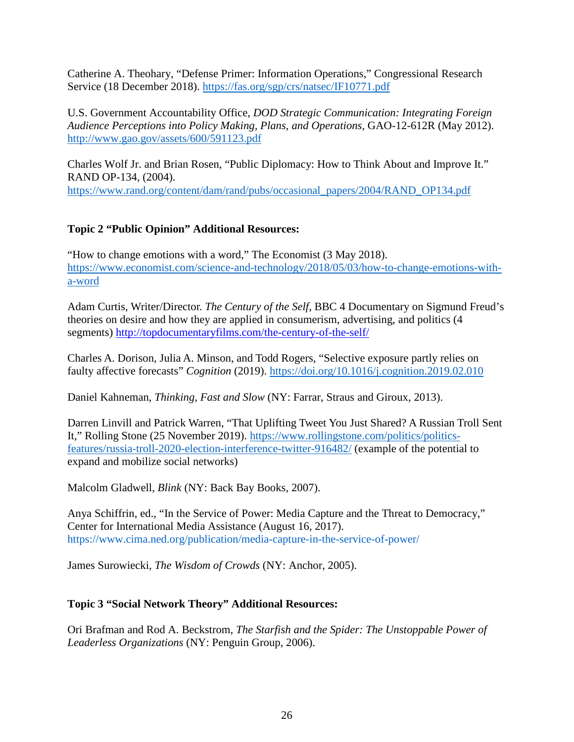Catherine A. Theohary, "Defense Primer: Information Operations," Congressional Research Service (18 December 2018).<https://fas.org/sgp/crs/natsec/IF10771.pdf>

U.S. Government Accountability Office, *DOD Strategic Communication: Integrating Foreign Audience Perceptions into Policy Making, Plans, and Operations,* GAO-12-612R (May 2012). <http://www.gao.gov/assets/600/591123.pdf>

Charles Wolf Jr. and Brian Rosen, "Public Diplomacy: How to Think About and Improve It." RAND OP-134, (2004). [https://www.rand.org/content/dam/rand/pubs/occasional\\_papers/2004/RAND\\_OP134.pdf](https://www.rand.org/content/dam/rand/pubs/occasional_papers/2004/RAND_OP134.pdf)

#### **Topic 2 "Public Opinion" Additional Resources:**

"How to change emotions with a word," The Economist (3 May 2018). [https://www.economist.com/science-and-technology/2018/05/03/how-to-change-emotions-with](https://www.economist.com/science-and-technology/2018/05/03/how-to-change-emotions-with-a-word)[a-word](https://www.economist.com/science-and-technology/2018/05/03/how-to-change-emotions-with-a-word)

Adam Curtis, Writer/Director. *The Century of the Self*, BBC 4 Documentary on Sigmund Freud's theories on desire and how they are applied in consumerism, advertising, and politics (4 segments)<http://topdocumentaryfilms.com/the-century-of-the-self/>

Charles A. Dorison, Julia A. Minson, and Todd Rogers, "Selective exposure partly relies on faulty affective forecasts" *Cognition* (2019).<https://doi.org/10.1016/j.cognition.2019.02.010>

Daniel Kahneman, *Thinking, Fast and Slow* (NY: Farrar, Straus and Giroux, 2013).

Darren Linvill and Patrick Warren, "That Uplifting Tweet You Just Shared? A Russian Troll Sent It," Rolling Stone (25 November 2019). [https://www.rollingstone.com/politics/politics](https://www.rollingstone.com/politics/politics-features/russia-troll-2020-election-interference-twitter-916482/)[features/russia-troll-2020-election-interference-twitter-916482/](https://www.rollingstone.com/politics/politics-features/russia-troll-2020-election-interference-twitter-916482/) (example of the potential to expand and mobilize social networks)

Malcolm Gladwell, *Blink* (NY: Back Bay Books, 2007).

Anya Schiffrin, ed., "In the Service of Power: Media Capture and the Threat to Democracy," Center for International Media Assistance (August 16, 2017). https://www.cima.ned.org/publication/media-capture-in-the-service-of-power/

James Surowiecki, *The Wisdom of Crowds* (NY: Anchor, 2005).

# **Topic 3 "Social Network Theory" Additional Resources:**

Ori Brafman and Rod A. Beckstrom, *The Starfish and the Spider: The Unstoppable Power of Leaderless Organizations* (NY: Penguin Group, 2006).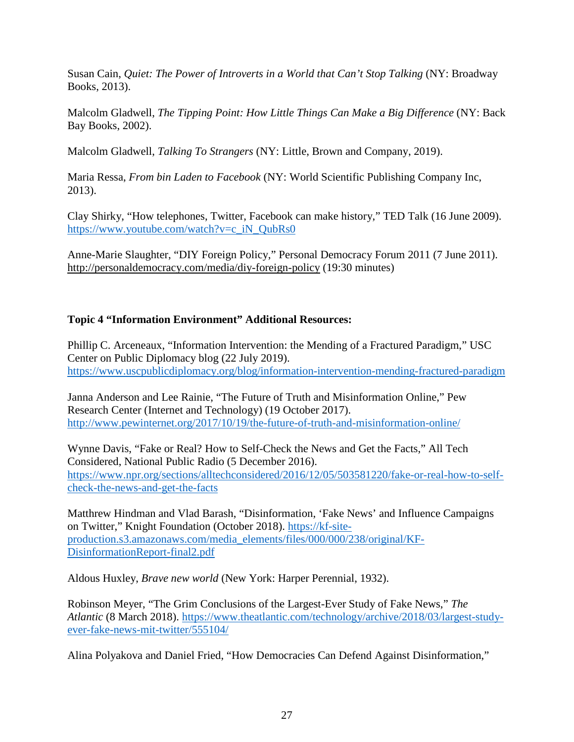Susan Cain, *Quiet: The Power of Introverts in a World that Can't Stop Talking* (NY: Broadway Books, 2013).

Malcolm Gladwell, *The Tipping Point: How Little Things Can Make a Big Difference* (NY: Back Bay Books, 2002).

Malcolm Gladwell, *Talking To Strangers* (NY: Little, Brown and Company, 2019).

Maria Ressa, *From bin Laden to Facebook* (NY: World Scientific Publishing Company Inc, 2013).

Clay Shirky, "How telephones, Twitter, Facebook can make history," TED Talk (16 June 2009). [https://www.youtube.com/watch?v=c\\_iN\\_QubRs0](https://www.youtube.com/watch?v=c_iN_QubRs0)

Anne-Marie Slaughter, ["DIY Foreign Policy,](http://www.youtube.com/watch?v=iLnJ6r8FqhA)" Personal Democracy Forum 2011 (7 June 2011). <http://personaldemocracy.com/media/diy-foreign-policy> (19:30 minutes)

#### **Topic 4 "Information Environment" Additional Resources:**

Phillip C. Arceneaux, "Information Intervention: the Mending of a Fractured Paradigm," USC Center on Public Diplomacy blog (22 July 2019). <https://www.uscpublicdiplomacy.org/blog/information-intervention-mending-fractured-paradigm>

Janna Anderson and Lee Rainie, "The Future of Truth and Misinformation Online," Pew Research Center (Internet and Technology) (19 October 2017). <http://www.pewinternet.org/2017/10/19/the-future-of-truth-and-misinformation-online/>

Wynne Davis, "Fake or Real? How to Self-Check the News and Get the Facts," All Tech Considered, National Public Radio (5 December 2016). [https://www.npr.org/sections/alltechconsidered/2016/12/05/503581220/fake-or-real-how-to-self](https://www.npr.org/sections/alltechconsidered/2016/12/05/503581220/fake-or-real-how-to-self-check-the-news-and-get-the-facts)[check-the-news-and-get-the-facts](https://www.npr.org/sections/alltechconsidered/2016/12/05/503581220/fake-or-real-how-to-self-check-the-news-and-get-the-facts)

Matthrew Hindman and Vlad Barash, "Disinformation, 'Fake News' and Influence Campaigns on Twitter," Knight Foundation (October 2018). [https://kf-site](https://kf-site-production.s3.amazonaws.com/media_elements/files/000/000/238/original/KF-DisinformationReport-final2.pdf)[production.s3.amazonaws.com/media\\_elements/files/000/000/238/original/KF-](https://kf-site-production.s3.amazonaws.com/media_elements/files/000/000/238/original/KF-DisinformationReport-final2.pdf)[DisinformationReport-final2.pdf](https://kf-site-production.s3.amazonaws.com/media_elements/files/000/000/238/original/KF-DisinformationReport-final2.pdf)

Aldous Huxley, *Brave new world* (New York: Harper Perennial, 1932).

Robinson Meyer, "The Grim Conclusions of the Largest-Ever Study of Fake News," *The Atlantic* (8 March 2018). [https://www.theatlantic.com/technology/archive/2018/03/largest-study](https://www.theatlantic.com/technology/archive/2018/03/largest-study-ever-fake-news-mit-twitter/555104/)[ever-fake-news-mit-twitter/555104/](https://www.theatlantic.com/technology/archive/2018/03/largest-study-ever-fake-news-mit-twitter/555104/)

Alina Polyakova and Daniel Fried, "How Democracies Can Defend Against Disinformation,"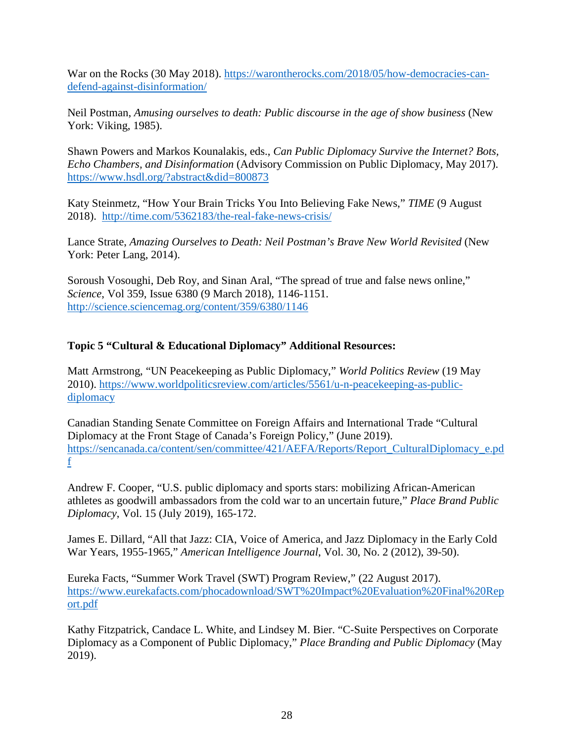War on the Rocks (30 May 2018). [https://warontherocks.com/2018/05/how-democracies-can](https://warontherocks.com/2018/05/how-democracies-can-defend-against-disinformation/)[defend-against-disinformation/](https://warontherocks.com/2018/05/how-democracies-can-defend-against-disinformation/)

Neil Postman, *Amusing ourselves to death: Public discourse in the age of show business* (New York: Viking, 1985).

Shawn Powers and Markos Kounalakis, eds., *Can Public Diplomacy Survive the Internet? Bots, Echo Chambers, and Disinformation* (Advisory Commission on Public Diplomacy, May 2017). https://www.hsdl.org/?abstract&did=800873

Katy Steinmetz, "How Your Brain Tricks You Into Believing Fake News," *TIME* (9 August 2018). <http://time.com/5362183/the-real-fake-news-crisis/>

Lance Strate, *Amazing Ourselves to Death: Neil Postman's Brave New World Revisited* (New York: Peter Lang, 2014).

Soroush Vosoughi, Deb Roy, and Sinan Aral, "The spread of true and false news online," *Science*, Vol 359, Issue 6380 (9 March 2018), 1146-1151. <http://science.sciencemag.org/content/359/6380/1146>

# **Topic 5 "Cultural & Educational Diplomacy" Additional Resources:**

Matt Armstrong, "UN Peacekeeping as Public Diplomacy," *World Politics Review* (19 May 2010). [https://www.worldpoliticsreview.com/articles/5561/u-n-peacekeeping-as-public](https://www.worldpoliticsreview.com/articles/5561/u-n-peacekeeping-as-public-diplomacy)[diplomacy](https://www.worldpoliticsreview.com/articles/5561/u-n-peacekeeping-as-public-diplomacy)

Canadian Standing Senate Committee on Foreign Affairs and International Trade "Cultural Diplomacy at the Front Stage of Canada's Foreign Policy," (June 2019). [https://sencanada.ca/content/sen/committee/421/AEFA/Reports/Report\\_CulturalDiplomacy\\_e.pd](https://sencanada.ca/content/sen/committee/421/AEFA/Reports/Report_CulturalDiplomacy_e.pdf) [f](https://sencanada.ca/content/sen/committee/421/AEFA/Reports/Report_CulturalDiplomacy_e.pdf)

Andrew F. Cooper, "U.S. public diplomacy and sports stars: mobilizing African-American athletes as goodwill ambassadors from the cold war to an uncertain future," *Place Brand Public Diplomacy*, Vol. 15 (July 2019), 165-172.

James E. Dillard, "All that Jazz: CIA, Voice of America, and Jazz Diplomacy in the Early Cold War Years, 1955-1965," *American Intelligence Journal*, Vol. 30, No. 2 (2012), 39-50).

Eureka Facts, "Summer Work Travel (SWT) Program Review," (22 August 2017). [https://www.eurekafacts.com/phocadownload/SWT%20Impact%20Evaluation%20Final%20Rep](https://www.eurekafacts.com/phocadownload/SWT%20Impact%20Evaluation%20Final%20Report.pdf) [ort.pdf](https://www.eurekafacts.com/phocadownload/SWT%20Impact%20Evaluation%20Final%20Report.pdf)

Kathy Fitzpatrick, Candace L. White, and Lindsey M. Bier. "C-Suite Perspectives on Corporate Diplomacy as a Component of Public Diplomacy," *Place Branding and Public Diplomacy* (May 2019).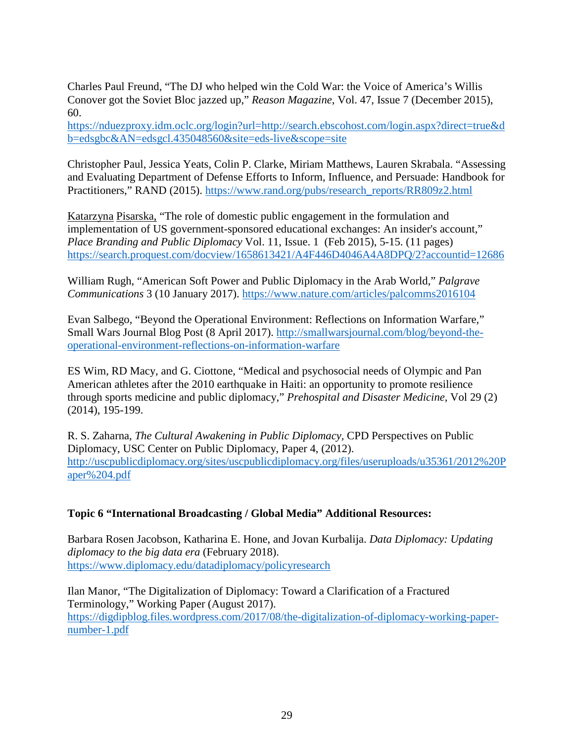Charles Paul Freund, "The DJ who helped win the Cold War: the Voice of America's Willis Conover got the Soviet Bloc jazzed up," *Reason Magazine*, Vol. 47, Issue 7 (December 2015), 60.

[https://nduezproxy.idm.oclc.org/login?url=http://search.ebscohost.com/login.aspx?direct=true&d](https://nduezproxy.idm.oclc.org/login?url=http://search.ebscohost.com/login.aspx?direct=true&db=edsgbc&AN=edsgcl.435048560&site=eds-live&scope=site) [b=edsgbc&AN=edsgcl.435048560&site=eds-live&scope=site](https://nduezproxy.idm.oclc.org/login?url=http://search.ebscohost.com/login.aspx?direct=true&db=edsgbc&AN=edsgcl.435048560&site=eds-live&scope=site)

Christopher Paul, Jessica Yeats, Colin P. Clarke, Miriam Matthews, Lauren Skrabala. "Assessing and Evaluating Department of Defense Efforts to Inform, Influence, and Persuade: Handbook for Practitioners," RAND (2015). [https://www.rand.org/pubs/research\\_reports/RR809z2.html](https://www.rand.org/pubs/research_reports/RR809z2.html)

[Katarzyna](https://search.proquest.com/indexinglinkhandler/sng/au/Pisarska,+Katarzyna/$N?accountid=12686) Pisarska, "The role of domestic public engagement in the formulation and implementation of US government-sponsored educational exchanges: An insider's account," *[Place Branding and Public Diplomacy](https://search.proquest.com/pubidlinkhandler/sng/pubtitle/Place+Branding+and+Public+Diplomacy/$N/39836/DocView/1658613421/fulltext/A4F446D4046A4A8DPQ/2?accountid=12686)* Vol. 11, [Issue.](https://search.proquest.com/indexingvolumeissuelinkhandler/39836/Place+Branding+and+Public+Diplomacy/02015Y02Y01$23Feb+2015$3b++Vol.+11+$281$29/11/1?accountid=12686) 1 (Feb 2015), 5-15. (11 pages) <https://search.proquest.com/docview/1658613421/A4F446D4046A4A8DPQ/2?accountid=12686>

William Rugh, "American Soft Power and Public Diplomacy in the Arab World," *Palgrave Communications* 3 (10 January 2017).<https://www.nature.com/articles/palcomms2016104>

Evan Salbego, "Beyond the Operational Environment: Reflections on Information Warfare," Small Wars Journal Blog Post (8 April 2017). [http://smallwarsjournal.com/blog/beyond-the](http://smallwarsjournal.com/blog/beyond-the-operational-environment-reflections-on-information-warfare)[operational-environment-reflections-on-information-warfare](http://smallwarsjournal.com/blog/beyond-the-operational-environment-reflections-on-information-warfare)

ES Wim, RD Macy, and G. Ciottone, "Medical and psychosocial needs of Olympic and Pan American athletes after the 2010 earthquake in Haiti: an opportunity to promote resilience through sports medicine and public diplomacy," *Prehospital and Disaster Medicine*, Vol 29 (2) (2014), 195-199.

R. S. Zaharna, *The Cultural Awakening in Public Diplomacy,* CPD Perspectives on Public Diplomacy, USC Center on Public Diplomacy, Paper 4, (2012). [http://uscpublicdiplomacy.org/sites/uscpublicdiplomacy.org/files/useruploads/u35361/2012%20P](http://uscpublicdiplomacy.org/sites/uscpublicdiplomacy.org/files/useruploads/u35361/2012%20Paper%204.pdf) [aper%204.pdf](http://uscpublicdiplomacy.org/sites/uscpublicdiplomacy.org/files/useruploads/u35361/2012%20Paper%204.pdf)

#### **Topic 6 "International Broadcasting / Global Media" Additional Resources:**

Barbara Rosen Jacobson, Katharina E. Hone, and Jovan Kurbalija. *Data Diplomacy: Updating diplomacy to the big data era* (February 2018). <https://www.diplomacy.edu/datadiplomacy/policyresearch>

Ilan Manor, "The Digitalization of Diplomacy: Toward a Clarification of a Fractured Terminology," Working Paper (August 2017). [https://digdipblog.files.wordpress.com/2017/08/the-digitalization-of-diplomacy-working-paper](https://digdipblog.files.wordpress.com/2017/08/the-digitalization-of-diplomacy-working-paper-number-1.pdf)[number-1.pdf](https://digdipblog.files.wordpress.com/2017/08/the-digitalization-of-diplomacy-working-paper-number-1.pdf)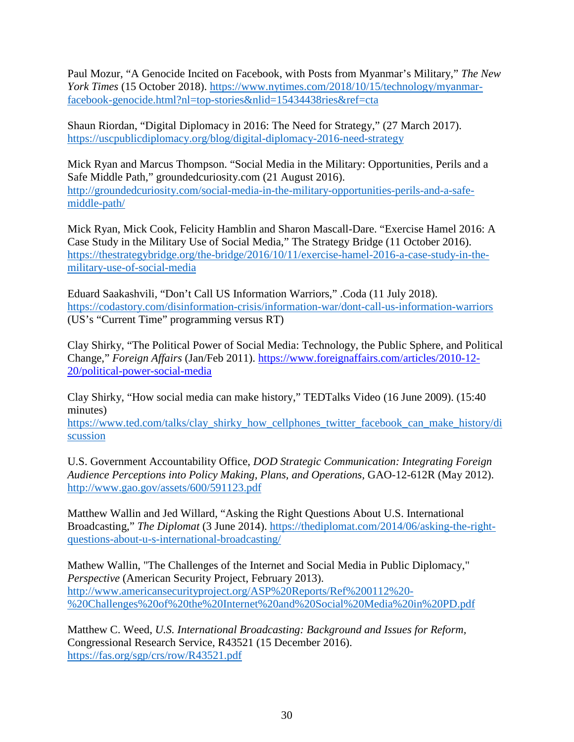Paul Mozur, "A Genocide Incited on Facebook, with Posts from Myanmar's Military," *The New York Times* (15 October 2018). [https://www.nytimes.com/2018/10/15/technology/myanmar](https://www.nytimes.com/2018/10/15/technology/myanmar-facebook-genocide.html?nl=top-stories&nlid=15434438ries&ref=cta)[facebook-genocide.html?nl=top-stories&nlid=15434438ries&ref=cta](https://www.nytimes.com/2018/10/15/technology/myanmar-facebook-genocide.html?nl=top-stories&nlid=15434438ries&ref=cta)

Shaun Riordan, "Digital Diplomacy in 2016: The Need for Strategy," (27 March 2017). <https://uscpublicdiplomacy.org/blog/digital-diplomacy-2016-need-strategy>

Mick Ryan and Marcus Thompson. "Social Media in the Military: Opportunities, Perils and a Safe Middle Path," groundedcuriosity.com (21 August 2016). [http://groundedcuriosity.com/social-media-in-the-military-opportunities-perils-and-a-safe](http://groundedcuriosity.com/social-media-in-the-military-opportunities-perils-and-a-safe-middle-path/)[middle-path/](http://groundedcuriosity.com/social-media-in-the-military-opportunities-perils-and-a-safe-middle-path/)

Mick Ryan, Mick Cook, Felicity Hamblin and Sharon Mascall-Dare. ["Exercise Hamel 2016: A](http://thestrategybridge.org/the-bridge/2016/10/11/exercise-hamel-2016-a-case-study-in-the-military-use-of-social-media)  [Case Study in the Military Use of Social Media,](http://thestrategybridge.org/the-bridge/2016/10/11/exercise-hamel-2016-a-case-study-in-the-military-use-of-social-media)" The Strategy Bridge (11 October 2016). [https://thestrategybridge.org/the-bridge/2016/10/11/exercise-hamel-2016-a-case-study-in-the](https://thestrategybridge.org/the-bridge/2016/10/11/exercise-hamel-2016-a-case-study-in-the-military-use-of-social-media)[military-use-of-social-media](https://thestrategybridge.org/the-bridge/2016/10/11/exercise-hamel-2016-a-case-study-in-the-military-use-of-social-media)

Eduard Saakashvili, "Don't Call US Information Warriors," .Coda (11 July 2018). <https://codastory.com/disinformation-crisis/information-war/dont-call-us-information-warriors> (US's "Current Time" programming versus RT)

Clay Shirky, "The Political Power of Social Media: Technology, the Public Sphere, and Political Change," *Foreign Affairs* (Jan/Feb 2011). [https://www.foreignaffairs.com/articles/2010-12-](https://www.foreignaffairs.com/articles/2010-12-20/political-power-social-media) [20/political-power-social-media](https://www.foreignaffairs.com/articles/2010-12-20/political-power-social-media)

Clay Shirky, "How social media can make history," TEDTalks Video (16 June 2009). (15:40 minutes)

[https://www.ted.com/talks/clay\\_shirky\\_how\\_cellphones\\_twitter\\_facebook\\_can\\_make\\_history/di](https://www.ted.com/talks/clay_shirky_how_cellphones_twitter_facebook_can_make_history/discussion) [scussion](https://www.ted.com/talks/clay_shirky_how_cellphones_twitter_facebook_can_make_history/discussion)

U.S. Government Accountability Office, *DOD Strategic Communication: Integrating Foreign Audience Perceptions into Policy Making, Plans, and Operations,* GAO-12-612R (May 2012). <http://www.gao.gov/assets/600/591123.pdf>

Matthew Wallin and Jed Willard, ["Asking the Right Questions About U.S. International](http://thediplomat.com/2014/06/asking-the-right-questions-about-u-s-international-broadcasting/)  [Broadcasting,"](http://thediplomat.com/2014/06/asking-the-right-questions-about-u-s-international-broadcasting/) *The Diplomat* (3 June 2014). [https://thediplomat.com/2014/06/asking-the-right](https://thediplomat.com/2014/06/asking-the-right-questions-about-u-s-international-broadcasting/)[questions-about-u-s-international-broadcasting/](https://thediplomat.com/2014/06/asking-the-right-questions-about-u-s-international-broadcasting/)

Mathew Wallin, "The Challenges of the Internet and Social Media in Public Diplomacy," *Perspective* (American Security Project, February 2013). [http://www.americansecurityproject.org/ASP%20Reports/Ref%200112%20-](http://www.americansecurityproject.org/ASP%20Reports/Ref%200112%20-%20Challenges%20of%20the%20Internet%20and%20Social%20Media%20in%20PD.pdf) [%20Challenges%20of%20the%20Internet%20and%20Social%20Media%20in%20PD.pdf](http://www.americansecurityproject.org/ASP%20Reports/Ref%200112%20-%20Challenges%20of%20the%20Internet%20and%20Social%20Media%20in%20PD.pdf)

Matthew C. Weed, *U.S. International Broadcasting: Background and Issues for Reform,* Congressional Research Service, R43521 (15 December 2016). <https://fas.org/sgp/crs/row/R43521.pdf>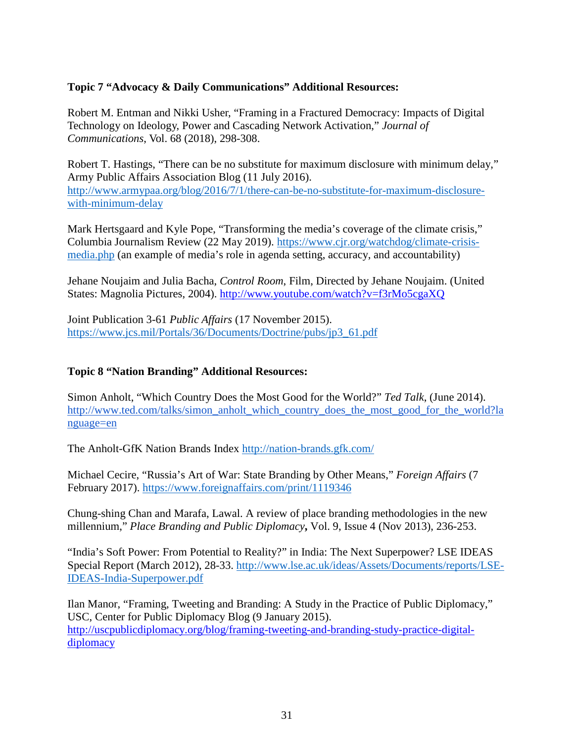#### **Topic 7 "Advocacy & Daily Communications" Additional Resources:**

Robert M. Entman and Nikki Usher, "Framing in a Fractured Democracy: Impacts of Digital Technology on Ideology, Power and Cascading Network Activation," *Journal of Communications*, Vol. 68 (2018), 298-308.

Robert T. Hastings, "There can be no substitute for maximum disclosure with minimum delay," Army Public Affairs Association Blog (11 July 2016). [http://www.armypaa.org/blog/2016/7/1/there-can-be-no-substitute-for-maximum-disclosure](http://www.armypaa.org/blog/2016/7/1/there-can-be-no-substitute-for-maximum-disclosure-with-minimum-delay)[with-minimum-delay](http://www.armypaa.org/blog/2016/7/1/there-can-be-no-substitute-for-maximum-disclosure-with-minimum-delay)

Mark Hertsgaard and Kyle Pope, "Transforming the media's coverage of the climate crisis," Columbia Journalism Review (22 May 2019). [https://www.cjr.org/watchdog/climate-crisis](https://www.cjr.org/watchdog/climate-crisis-media.php)[media.php](https://www.cjr.org/watchdog/climate-crisis-media.php) (an example of media's role in agenda setting, accuracy, and accountability)

Jehane Noujaim and Julia Bacha, *Control Room*, Film, Directed by Jehane Noujaim. (United States: Magnolia Pictures, 2004).<http://www.youtube.com/watch?v=f3rMo5cgaXQ>

Joint Publication 3-61 *Public Affairs* (17 November 2015). [https://www.jcs.mil/Portals/36/Documents/Doctrine/pubs/jp3\\_61.pdf](https://www.jcs.mil/Portals/36/Documents/Doctrine/pubs/jp3_61.pdf)

#### **Topic 8 "Nation Branding" Additional Resources:**

Simon Anholt, "Which Country Does the Most Good for the World?" *Ted Talk*, (June 2014). [http://www.ted.com/talks/simon\\_anholt\\_which\\_country\\_does\\_the\\_most\\_good\\_for\\_the\\_world?la](http://www.ted.com/talks/simon_anholt_which_country_does_the_most_good_for_the_world?language=en) [nguage=en](http://www.ted.com/talks/simon_anholt_which_country_does_the_most_good_for_the_world?language=en)

The Anholt-GfK Nation Brands Index<http://nation-brands.gfk.com/>

Michael Cecire, "Russia's Art of War: State Branding by Other Means," *Foreign Affairs* (7 February 2017).<https://www.foreignaffairs.com/print/1119346>

[Chung-shing](https://search.proquest.com/indexinglinkhandler/sng/au/Chan,+Chung-shing/$N?accountid=12686) Chan and Marafa, Lawal. A review of place branding methodologies in the new millennium," *[Place Branding and Public Diplomacy](https://search.proquest.com/pubidlinkhandler/sng/pubtitle/Place+Branding+and+Public+Diplomacy/$N/39836/PagePdf/1466825938/fulltextPDF/D606B36DDF3E40CCPQ/3?accountid=12686)***,** Vol. 9, Issue 4 (Nov 2013), 236-253.

"India's Soft Power: From Potential to Reality?" in India: The Next Superpower? LSE IDEAS Special Report (March 2012), 28-33. [http://www.lse.ac.uk/ideas/Assets/Documents/reports/LSE-](http://www.lse.ac.uk/ideas/Assets/Documents/reports/LSE-IDEAS-India-Superpower.pdf)[IDEAS-India-Superpower.pdf](http://www.lse.ac.uk/ideas/Assets/Documents/reports/LSE-IDEAS-India-Superpower.pdf)

Ilan Manor, "Framing, Tweeting and Branding: A Study in the Practice of Public Diplomacy," USC, Center for Public Diplomacy Blog (9 January 2015). [http://uscpublicdiplomacy.org/blog/framing-tweeting-and-branding-study-practice-digital](http://uscpublicdiplomacy.org/blog/framing-tweeting-and-branding-study-practice-digital-diplomacy)[diplomacy](http://uscpublicdiplomacy.org/blog/framing-tweeting-and-branding-study-practice-digital-diplomacy)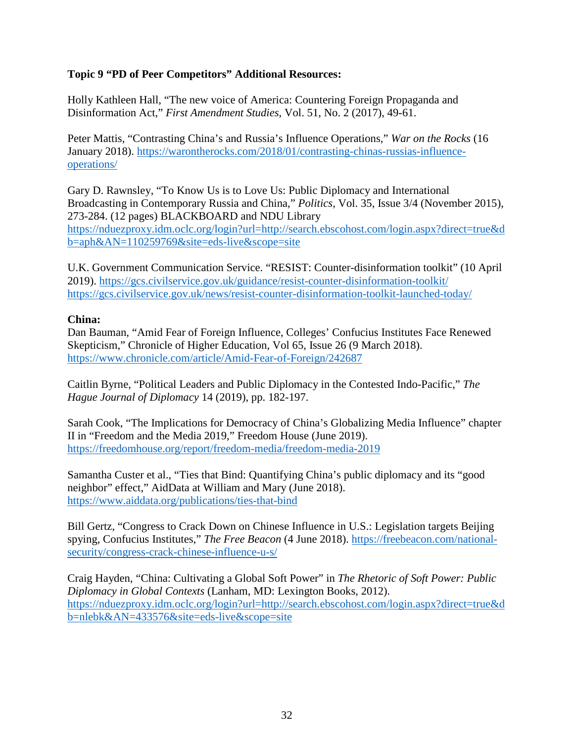#### **Topic 9 "PD of Peer Competitors" Additional Resources:**

Holly Kathleen Hall, "The new voice of America: Countering Foreign Propaganda and Disinformation Act," *First Amendment Studies*, Vol. 51, No. 2 (2017), 49-61.

Peter Mattis, "Contrasting China's and Russia's Influence Operations," *War on the Rocks* (16 January 2018). [https://warontherocks.com/2018/01/contrasting-chinas-russias-influence](https://warontherocks.com/2018/01/contrasting-chinas-russias-influence-operations/)[operations/](https://warontherocks.com/2018/01/contrasting-chinas-russias-influence-operations/)

Gary D. Rawnsley, "To Know Us is to Love Us: Public Diplomacy and International Broadcasting in Contemporary Russia and China," *Politics,* Vol. 35, Issue 3/4 (November 2015), 273-284. (12 pages) BLACKBOARD and NDU Library [https://nduezproxy.idm.oclc.org/login?url=http://search.ebscohost.com/login.aspx?direct=true&d](https://nduezproxy.idm.oclc.org/login?url=http://search.ebscohost.com/login.aspx?direct=true&db=aph&AN=110259769&site=eds-live&scope=site) [b=aph&AN=110259769&site=eds-live&scope=site](https://nduezproxy.idm.oclc.org/login?url=http://search.ebscohost.com/login.aspx?direct=true&db=aph&AN=110259769&site=eds-live&scope=site)

U.K. Government Communication Service. "RESIST: Counter-disinformation toolkit" (10 April 2019).<https://gcs.civilservice.gov.uk/guidance/resist-counter-disinformation-toolkit/> <https://gcs.civilservice.gov.uk/news/resist-counter-disinformation-toolkit-launched-today/>

#### **China:**

Dan Bauman, "Amid Fear of Foreign Influence, Colleges' Confucius Institutes Face Renewed Skepticism," Chronicle of Higher Education, Vol 65, Issue 26 (9 March 2018). <https://www.chronicle.com/article/Amid-Fear-of-Foreign/242687>

Caitlin Byrne, "Political Leaders and Public Diplomacy in the Contested Indo-Pacific," *The Hague Journal of Diplomacy* 14 (2019), pp. 182-197.

Sarah Cook, "The Implications for Democracy of China's Globalizing Media Influence" chapter II in "Freedom and the Media 2019," Freedom House (June 2019). <https://freedomhouse.org/report/freedom-media/freedom-media-2019>

Samantha Custer et al., "Ties that Bind: Quantifying China's public diplomacy and its "good neighbor" effect," AidData at William and Mary (June 2018). <https://www.aiddata.org/publications/ties-that-bind>

Bill Gertz, "Congress to Crack Down on Chinese Influence in U.S.: Legislation targets Beijing spying, Confucius Institutes," *The Free Beacon* (4 June 2018). [https://freebeacon.com/national](https://freebeacon.com/national-security/congress-crack-chinese-influence-u-s/)[security/congress-crack-chinese-influence-u-s/](https://freebeacon.com/national-security/congress-crack-chinese-influence-u-s/)

Craig Hayden, "China: Cultivating a Global Soft Power" in *The Rhetoric of Soft Power: Public Diplomacy in Global Contexts* (Lanham, MD: Lexington Books, 2012). [https://nduezproxy.idm.oclc.org/login?url=http://search.ebscohost.com/login.aspx?direct=true&d](https://nduezproxy.idm.oclc.org/login?url=http://search.ebscohost.com/login.aspx?direct=true&db=nlebk&AN=433576&site=eds-live&scope=site) [b=nlebk&AN=433576&site=eds-live&scope=site](https://nduezproxy.idm.oclc.org/login?url=http://search.ebscohost.com/login.aspx?direct=true&db=nlebk&AN=433576&site=eds-live&scope=site)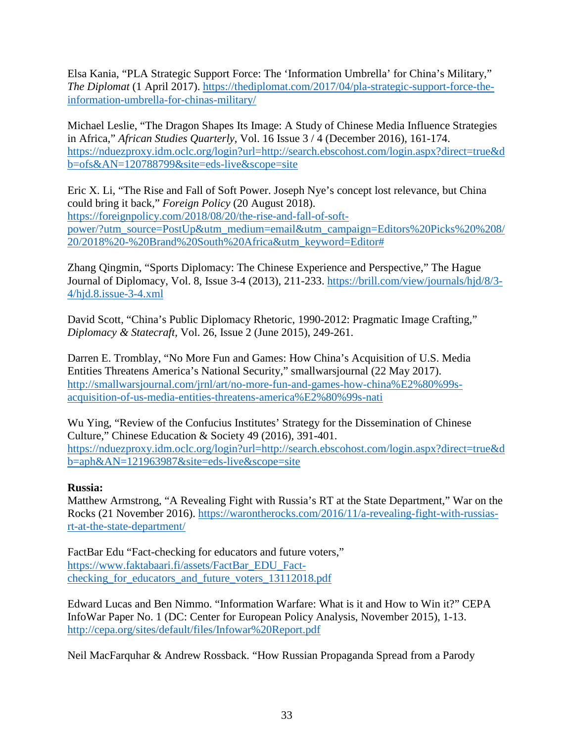Elsa Kania, "PLA Strategic Support Force: The 'Information Umbrella' for China's Military," *The Diplomat* (1 April 2017). [https://thediplomat.com/2017/04/pla-strategic-support-force-the](https://thediplomat.com/2017/04/pla-strategic-support-force-the-information-umbrella-for-chinas-military/)[information-umbrella-for-chinas-military/](https://thediplomat.com/2017/04/pla-strategic-support-force-the-information-umbrella-for-chinas-military/)

Michael Leslie, "The Dragon Shapes Its Image: A Study of Chinese Media Influence Strategies in Africa," *African Studies Quarterly,* Vol. 16 Issue 3 / 4 (December 2016), 161-174. [https://nduezproxy.idm.oclc.org/login?url=http://search.ebscohost.com/login.aspx?direct=true&d](https://nduezproxy.idm.oclc.org/login?url=http://search.ebscohost.com/login.aspx?direct=true&db=ofs&AN=120788799&site=eds-live&scope=site) [b=ofs&AN=120788799&site=eds-live&scope=site](https://nduezproxy.idm.oclc.org/login?url=http://search.ebscohost.com/login.aspx?direct=true&db=ofs&AN=120788799&site=eds-live&scope=site)

Eric X. Li, "The Rise and Fall of Soft Power. Joseph Nye's concept lost relevance, but China could bring it back," *Foreign Policy* (20 August 2018). https://foreignpolicy.com/2018/08/20/the-rise-and-fall-of-softpower/?utm\_source=PostUp&utm\_medium=email&utm\_campaign=Editors%20Picks%20%208/ 20/2018%20-%20Brand%20South%20Africa&utm\_keyword=Editor#

Zhang Qingmin, "Sports Diplomacy: The Chinese Experience and Perspective," The Hague Journal of Diplomacy, Vol. 8, Issue 3-4 (2013), 211-233. [https://brill.com/view/journals/hjd/8/3-](https://brill.com/view/journals/hjd/8/3-4/hjd.8.issue-3-4.xml) [4/hjd.8.issue-3-4.xml](https://brill.com/view/journals/hjd/8/3-4/hjd.8.issue-3-4.xml)

David Scott, "China's Public Diplomacy Rhetoric, 1990-2012: Pragmatic Image Crafting," *Diplomacy & Statecraft,* Vol. 26, Issue 2 (June 2015), 249-261.

Darren E. Tromblay, "No More Fun and Games: How China's Acquisition of U.S. Media Entities Threatens America's National Security," smallwarsjournal (22 May 2017). [http://smallwarsjournal.com/jrnl/art/no-more-fun-and-games-how-china%E2%80%99s](http://smallwarsjournal.com/jrnl/art/no-more-fun-and-games-how-china%E2%80%99s-acquisition-of-us-media-entities-threatens-america%E2%80%99s-nati)[acquisition-of-us-media-entities-threatens-america%E2%80%99s-nati](http://smallwarsjournal.com/jrnl/art/no-more-fun-and-games-how-china%E2%80%99s-acquisition-of-us-media-entities-threatens-america%E2%80%99s-nati)

Wu Ying, "Review of the Confucius Institutes' Strategy for the Dissemination of Chinese Culture," Chinese Education & Society 49 (2016), 391-401. [https://nduezproxy.idm.oclc.org/login?url=http://search.ebscohost.com/login.aspx?direct=true&d](https://nduezproxy.idm.oclc.org/login?url=http://search.ebscohost.com/login.aspx?direct=true&db=aph&AN=121963987&site=eds-live&scope=site) [b=aph&AN=121963987&site=eds-live&scope=site](https://nduezproxy.idm.oclc.org/login?url=http://search.ebscohost.com/login.aspx?direct=true&db=aph&AN=121963987&site=eds-live&scope=site)

#### **Russia:**

Matthew Armstrong, "A Revealing Fight with Russia's RT at the State Department," War on the Rocks (21 November 2016). [https://warontherocks.com/2016/11/a-revealing-fight-with-russias](https://warontherocks.com/2016/11/a-revealing-fight-with-russias-rt-at-the-state-department/)[rt-at-the-state-department/](https://warontherocks.com/2016/11/a-revealing-fight-with-russias-rt-at-the-state-department/)

FactBar Edu "Fact-checking for educators and future voters," [https://www.faktabaari.fi/assets/FactBar\\_EDU\\_Fact](https://www.faktabaari.fi/assets/FactBar_EDU_Fact-checking_for_educators_and_future_voters_13112018.pdf)checking for educators and future voters 13112018.pdf

Edward Lucas and Ben Nimmo. "Information Warfare: What is it and How to Win it?" CEPA InfoWar Paper No. 1 (DC: Center for European Policy Analysis, November 2015), 1-13. <http://cepa.org/sites/default/files/Infowar%20Report.pdf>

Neil MacFarquhar & Andrew Rossback. "How Russian Propaganda Spread from a Parody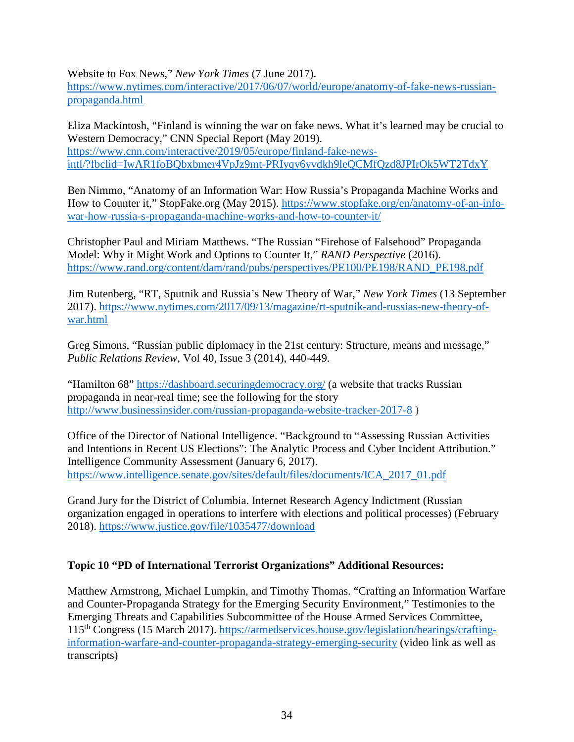Website to Fox News," *New York Times* (7 June 2017).

[https://www.nytimes.com/interactive/2017/06/07/world/europe/anatomy-of-fake-news-russian](https://www.nytimes.com/interactive/2017/06/07/world/europe/anatomy-of-fake-news-russian-propaganda.html)[propaganda.html](https://www.nytimes.com/interactive/2017/06/07/world/europe/anatomy-of-fake-news-russian-propaganda.html)

Eliza Mackintosh, "Finland is winning the war on fake news. What it's learned may be crucial to Western Democracy," CNN Special Report (May 2019). [https://www.cnn.com/interactive/2019/05/europe/finland-fake-news](https://www.cnn.com/interactive/2019/05/europe/finland-fake-news-intl/?fbclid=IwAR1foBQbxbmer4VpJz9mt-PRIyqy6yvdkh9leQCMfQzd8JPIrOk5WT2TdxY)[intl/?fbclid=IwAR1foBQbxbmer4VpJz9mt-PRIyqy6yvdkh9leQCMfQzd8JPIrOk5WT2TdxY](https://www.cnn.com/interactive/2019/05/europe/finland-fake-news-intl/?fbclid=IwAR1foBQbxbmer4VpJz9mt-PRIyqy6yvdkh9leQCMfQzd8JPIrOk5WT2TdxY) 

Ben Nimmo, "Anatomy of an Information War: How Russia's Propaganda Machine Works and How to Counter it," StopFake.org (May 2015). [https://www.stopfake.org/en/anatomy-of-an-info](https://www.stopfake.org/en/anatomy-of-an-info-war-how-russia-s-propaganda-machine-works-and-how-to-counter-it/)[war-how-russia-s-propaganda-machine-works-and-how-to-counter-it/](https://www.stopfake.org/en/anatomy-of-an-info-war-how-russia-s-propaganda-machine-works-and-how-to-counter-it/)

Christopher Paul and Miriam Matthews. "The Russian "Firehose of Falsehood" Propaganda Model: Why it Might Work and Options to Counter It," *RAND Perspective* (2016). [https://www.rand.org/content/dam/rand/pubs/perspectives/PE100/PE198/RAND\\_PE198.pdf](https://www.rand.org/content/dam/rand/pubs/perspectives/PE100/PE198/RAND_PE198.pdf)

Jim Rutenberg, "RT, Sputnik and Russia's New Theory of War," *New York Times* (13 September 2017). [https://www.nytimes.com/2017/09/13/magazine/rt-sputnik-and-russias-new-theory-of](https://www.nytimes.com/2017/09/13/magazine/rt-sputnik-and-russias-new-theory-of-war.html)[war.html](https://www.nytimes.com/2017/09/13/magazine/rt-sputnik-and-russias-new-theory-of-war.html)

Greg Simons, "Russian public diplomacy in the 21st century: Structure, means and message," *Public Relations Review*, Vol 40, Issue 3 (2014), 440-449.

"Hamilton 68"<https://dashboard.securingdemocracy.org/> (a website that tracks Russian propaganda in near-real time; see the following for the story <http://www.businessinsider.com/russian-propaganda-website-tracker-2017-8> )

Office of the Director of National Intelligence. "Background to "Assessing Russian Activities and Intentions in Recent US Elections": The Analytic Process and Cyber Incident Attribution." Intelligence Community Assessment (January 6, 2017). [https://www.intelligence.senate.gov/sites/default/files/documents/ICA\\_2017\\_01.pdf](https://www.intelligence.senate.gov/sites/default/files/documents/ICA_2017_01.pdf)

Grand Jury for the District of Columbia. Internet Research Agency Indictment (Russian organization engaged in operations to interfere with elections and political processes) (February 2018).<https://www.justice.gov/file/1035477/download>

#### **Topic 10 "PD of International Terrorist Organizations" Additional Resources:**

Matthew Armstrong, Michael Lumpkin, and Timothy Thomas. "Crafting an Information Warfare and Counter-Propaganda Strategy for the Emerging Security Environment," Testimonies to the Emerging Threats and Capabilities Subcommittee of the House Armed Services Committee, 115th Congress (15 March 2017). [https://armedservices.house.gov/legislation/hearings/crafting](https://armedservices.house.gov/legislation/hearings/crafting-information-warfare-and-counter-propaganda-strategy-emerging-security)[information-warfare-and-counter-propaganda-strategy-emerging-security](https://armedservices.house.gov/legislation/hearings/crafting-information-warfare-and-counter-propaganda-strategy-emerging-security) (video link as well as transcripts)